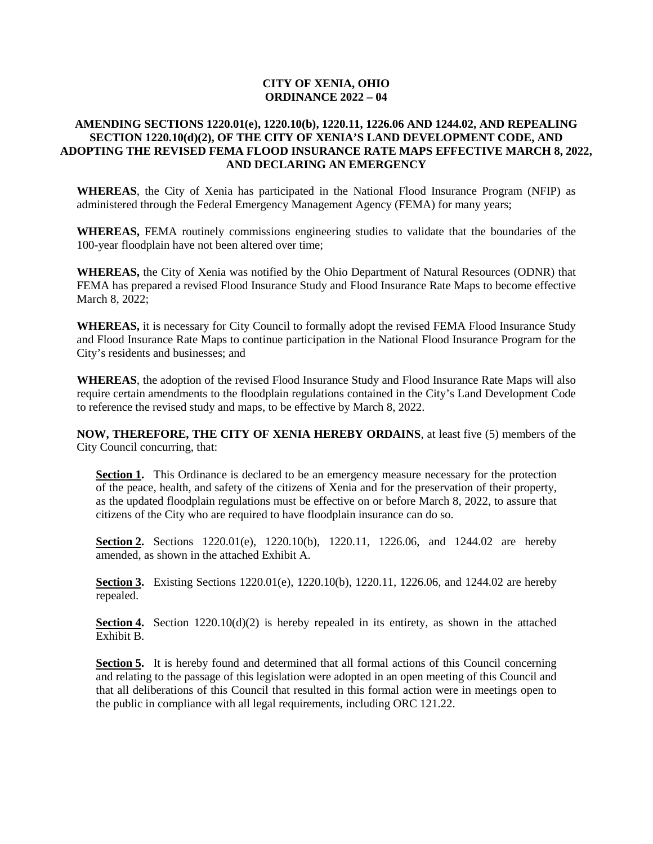## **CITY OF XENIA, OHIO ORDINANCE 2022 – 04**

# **AMENDING SECTIONS 1220.01(e), 1220.10(b), 1220.11, 1226.06 AND 1244.02, AND REPEALING SECTION 1220.10(d)(2), OF THE CITY OF XENIA'S LAND DEVELOPMENT CODE, AND ADOPTING THE REVISED FEMA FLOOD INSURANCE RATE MAPS EFFECTIVE MARCH 8, 2022, AND DECLARING AN EMERGENCY**

**WHEREAS**, the City of Xenia has participated in the National Flood Insurance Program (NFIP) as administered through the Federal Emergency Management Agency (FEMA) for many years;

**WHEREAS,** FEMA routinely commissions engineering studies to validate that the boundaries of the 100-year floodplain have not been altered over time;

**WHEREAS,** the City of Xenia was notified by the Ohio Department of Natural Resources (ODNR) that FEMA has prepared a revised Flood Insurance Study and Flood Insurance Rate Maps to become effective March 8, 2022;

**WHEREAS,** it is necessary for City Council to formally adopt the revised FEMA Flood Insurance Study and Flood Insurance Rate Maps to continue participation in the National Flood Insurance Program for the City's residents and businesses; and

**WHEREAS**, the adoption of the revised Flood Insurance Study and Flood Insurance Rate Maps will also require certain amendments to the floodplain regulations contained in the City's Land Development Code to reference the revised study and maps, to be effective by March 8, 2022.

**NOW, THEREFORE, THE CITY OF XENIA HEREBY ORDAINS**, at least five (5) members of the City Council concurring, that:

**Section 1.** This Ordinance is declared to be an emergency measure necessary for the protection of the peace, health, and safety of the citizens of Xenia and for the preservation of their property, as the updated floodplain regulations must be effective on or before March 8, 2022, to assure that citizens of the City who are required to have floodplain insurance can do so.

**Section 2.** Sections 1220.01(e), 1220.10(b), 1220.11, 1226.06, and 1244.02 are hereby amended, as shown in the attached Exhibit A.

**Section 3.** Existing Sections 1220.01(e), 1220.10(b), 1220.11, 1226.06, and 1244.02 are hereby repealed.

**Section 4.** Section  $1220.10(d)(2)$  is hereby repealed in its entirety, as shown in the attached Exhibit B.

Section 5. It is hereby found and determined that all formal actions of this Council concerning and relating to the passage of this legislation were adopted in an open meeting of this Council and that all deliberations of this Council that resulted in this formal action were in meetings open to the public in compliance with all legal requirements, including ORC 121.22.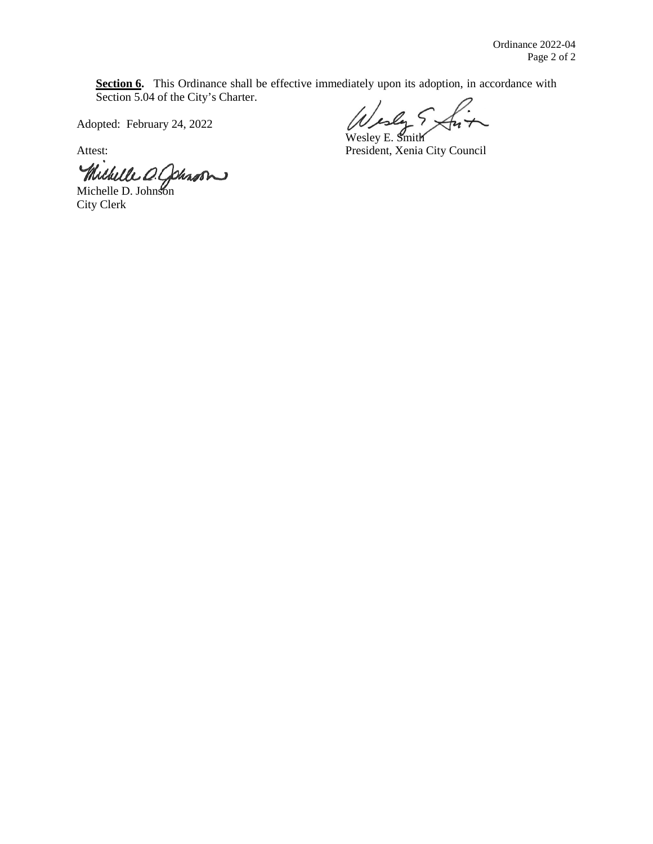Section 6. This Ordinance shall be effective immediately upon its adoption, in accordance with Section 5.04 of the City's Charter.

Adopted: February 24, 2022

Michelle D. Cohron

City Clerk

Wesley E. Smith

Attest: President, Xenia City Council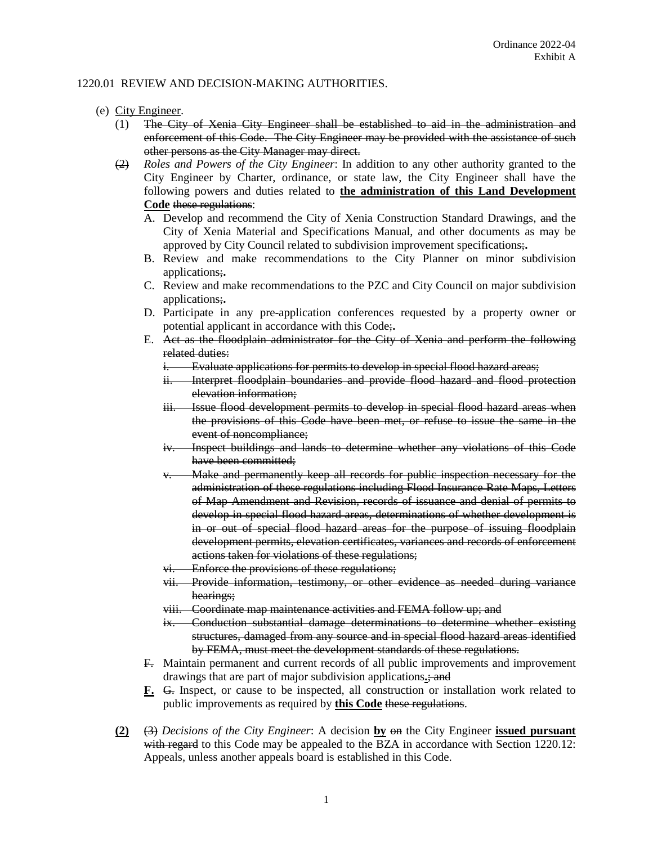## 1220.01 REVIEW AND DECISION-MAKING AUTHORITIES.

#### (e) City Engineer.

- (1) The City of Xenia City Engineer shall be established to aid in the administration and enforcement of this Code. The City Engineer may be provided with the assistance of such other persons as the City Manager may direct.
- (2) *Roles and Powers of the City Engineer*: In addition to any other authority granted to the City Engineer by Charter, ordinance, or state law, the City Engineer shall have the following powers and duties related to **the administration of this Land Development Code** these regulations:
	- A. Develop and recommend the City of Xenia Construction Standard Drawings, and the City of Xenia Material and Specifications Manual, and other documents as may be approved by City Council related to subdivision improvement specifications;**.**
	- B. Review and make recommendations to the City Planner on minor subdivision applications;**.**
	- C. Review and make recommendations to the PZC and City Council on major subdivision applications;**.**
	- D. Participate in any pre-application conferences requested by a property owner or potential applicant in accordance with this Code;**.**
	- E. Act as the floodplain administrator for the City of Xenia and perform the following related duties:
		- i. Evaluate applications for permits to develop in special flood hazard areas;
		- ii. Interpret floodplain boundaries and provide flood hazard and flood protection elevation information;
		- iii. Issue flood development permits to develop in special flood hazard areas when the provisions of this Code have been met, or refuse to issue the same in the event of noncompliance;
		- iv. Inspect buildings and lands to determine whether any violations of this Code have been committed;
		- Make and permanently keep all records for public inspection necessary for the administration of these regulations including Flood Insurance Rate Maps, Letters of Map Amendment and Revision, records of issuance and denial of permits to develop in special flood hazard areas, determinations of whether development is in or out of special flood hazard areas for the purpose of issuing floodplain development permits, elevation certificates, variances and records of enforcement actions taken for violations of these regulations;
		- vi. Enforce the provisions of these regulations;
		- vii. Provide information, testimony, or other evidence as needed during variance hearings;
		- viii. Coordinate map maintenance activities and FEMA follow up; and
		- ix. Conduction substantial damage determinations to determine whether existing structures, damaged from any source and in special flood hazard areas identified by FEMA, must meet the development standards of these regulations.
	- F. Maintain permanent and current records of all public improvements and improvement drawings that are part of major subdivision applications**.**; and
	- **F.** G. Inspect, or cause to be inspected, all construction or installation work related to public improvements as required by **this Code** these regulations.
- **(2)** (3) *Decisions of the City Engineer*: A decision **by** on the City Engineer **issued pursuant** with regard to this Code may be appealed to the BZA in accordance with Section 1220.12: Appeals, unless another appeals board is established in this Code.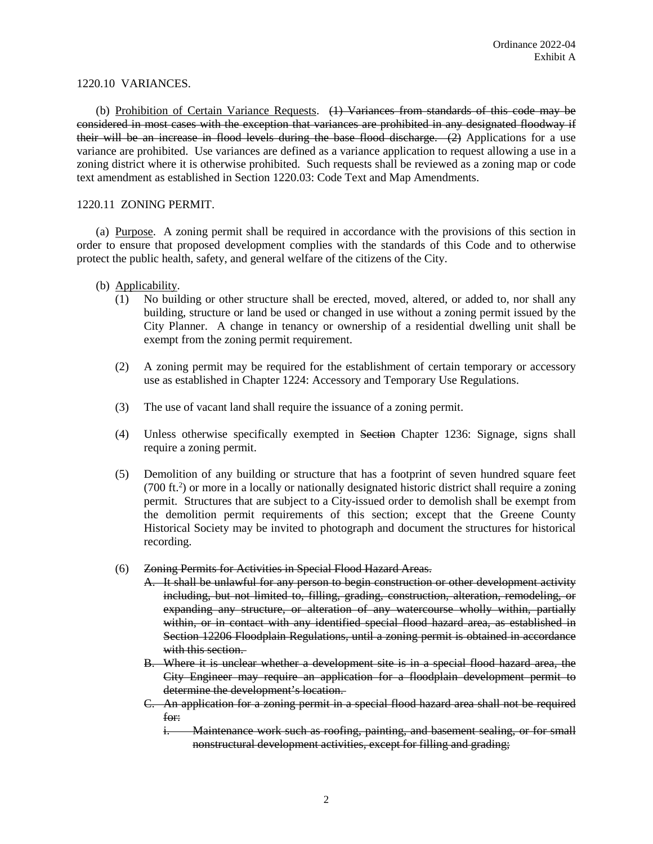### 1220.10 VARIANCES.

(b) Prohibition of Certain Variance Requests. (1) Variances from standards of this code may be considered in most cases with the exception that variances are prohibited in any designated floodway if their will be an increase in flood levels during the base flood discharge.  $(2)$  Applications for a use variance are prohibited. Use variances are defined as a variance application to request allowing a use in a zoning district where it is otherwise prohibited. Such requests shall be reviewed as a zoning map or code text amendment as established in Section 1220.03: Code Text and Map Amendments.

### 1220.11 ZONING PERMIT.

(a) Purpose. A zoning permit shall be required in accordance with the provisions of this section in order to ensure that proposed development complies with the standards of this Code and to otherwise protect the public health, safety, and general welfare of the citizens of the City.

- (b) Applicability.
	- (1) No building or other structure shall be erected, moved, altered, or added to, nor shall any building, structure or land be used or changed in use without a zoning permit issued by the City Planner. A change in tenancy or ownership of a residential dwelling unit shall be exempt from the zoning permit requirement.
	- (2) A zoning permit may be required for the establishment of certain temporary or accessory use as established in Chapter 1224: Accessory and Temporary Use Regulations.
	- (3) The use of vacant land shall require the issuance of a zoning permit.
	- (4) Unless otherwise specifically exempted in Section Chapter 1236: Signage, signs shall require a zoning permit.
	- (5) Demolition of any building or structure that has a footprint of seven hundred square feet (700 ft.2 ) or more in a locally or nationally designated historic district shall require a zoning permit. Structures that are subject to a City-issued order to demolish shall be exempt from the demolition permit requirements of this section; except that the Greene County Historical Society may be invited to photograph and document the structures for historical recording.
	- (6) Zoning Permits for Activities in Special Flood Hazard Areas.
		- A. It shall be unlawful for any person to begin construction or other development activity including, but not limited to, filling, grading, construction, alteration, remodeling, or expanding any structure, or alteration of any watercourse wholly within, partially within, or in contact with any identified special flood hazard area, as established in Section 12206 Floodplain Regulations, until a zoning permit is obtained in accordance with this section.
		- B. Where it is unclear whether a development site is in a special flood hazard area, the City Engineer may require an application for a floodplain development permit to determine the development's location.
		- C. An application for a zoning permit in a special flood hazard area shall not be required for:
			- i. Maintenance work such as roofing, painting, and basement sealing, or for small nonstructural development activities, except for filling and grading;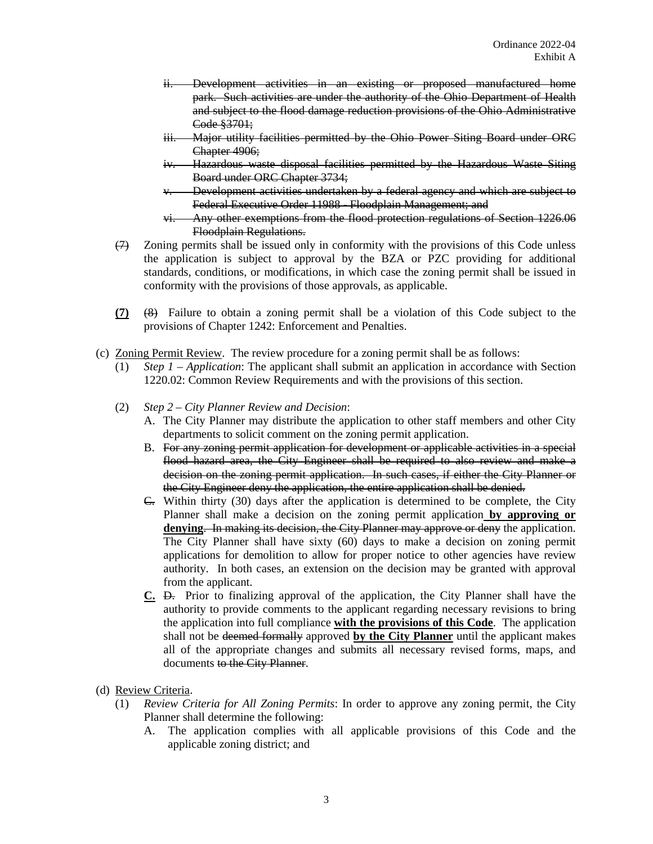- ii. Development activities in an existing or proposed manufactured home park. Such activities are under the authority of the Ohio Department of Health and subject to the flood damage reduction provisions of the Ohio Administrative Code §3701;
- iii. Major utility facilities permitted by the Ohio Power Siting Board under ORC Chapter 4906;
- iv. Hazardous waste disposal facilities permitted by the Hazardous Waste Siting Board under ORC Chapter 3734;
- v. Development activities undertaken by a federal agency and which are subject to Federal Executive Order 11988 - Floodplain Management; and
- vi. Any other exemptions from the flood protection regulations of Section 1226.06 Floodplain Regulations.
- $(7)$  Zoning permits shall be issued only in conformity with the provisions of this Code unless the application is subject to approval by the BZA or PZC providing for additional standards, conditions, or modifications, in which case the zoning permit shall be issued in conformity with the provisions of those approvals, as applicable.
- **(7)** (8) Failure to obtain a zoning permit shall be a violation of this Code subject to the provisions of Chapter 1242: Enforcement and Penalties.
- (c) Zoning Permit Review. The review procedure for a zoning permit shall be as follows:
	- (1) *Step 1 – Application*: The applicant shall submit an application in accordance with Section 1220.02: Common Review Requirements and with the provisions of this section.
	- (2) *Step 2 – City Planner Review and Decision*:
		- A. The City Planner may distribute the application to other staff members and other City departments to solicit comment on the zoning permit application.
		- B. For any zoning permit application for development or applicable activities in a special flood hazard area, the City Engineer shall be required to also review and make a decision on the zoning permit application. In such cases, if either the City Planner or the City Engineer deny the application, the entire application shall be denied.
		- C. Within thirty (30) days after the application is determined to be complete, the City Planner shall make a decision on the zoning permit application **by approving or denying**. In making its decision, the City Planner may approve or deny the application. The City Planner shall have sixty (60) days to make a decision on zoning permit applications for demolition to allow for proper notice to other agencies have review authority. In both cases, an extension on the decision may be granted with approval from the applicant.
		- **C.** D. Prior to finalizing approval of the application, the City Planner shall have the authority to provide comments to the applicant regarding necessary revisions to bring the application into full compliance **with the provisions of this Code**. The application shall not be deemed formally approved **by the City Planner** until the applicant makes all of the appropriate changes and submits all necessary revised forms, maps, and documents to the City Planner.
- (d) Review Criteria.
	- (1) *Review Criteria for All Zoning Permits*: In order to approve any zoning permit, the City Planner shall determine the following:
		- A. The application complies with all applicable provisions of this Code and the applicable zoning district; and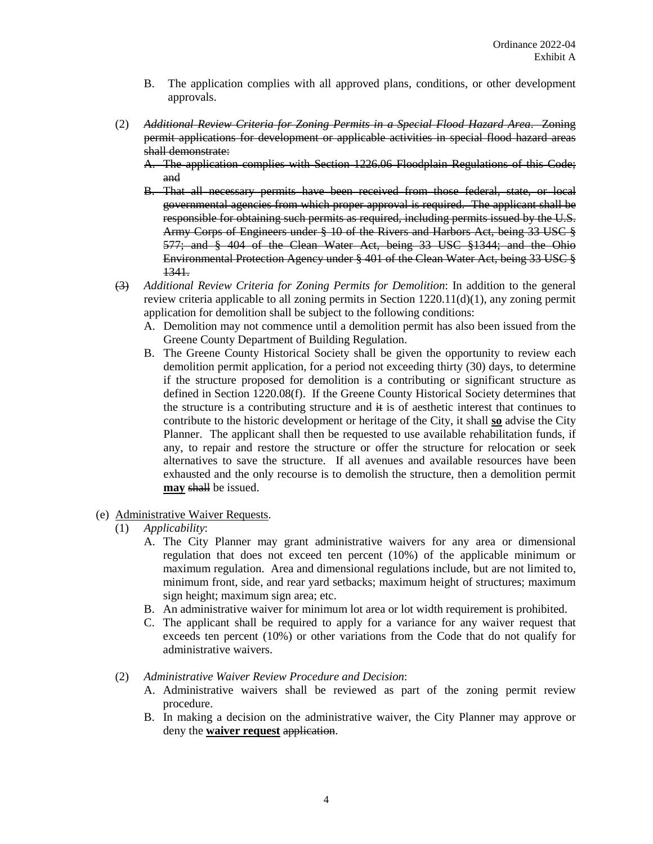- B. The application complies with all approved plans, conditions, or other development approvals.
- (2) *Additional Review Criteria for Zoning Permits in a Special Flood Hazard Area*. Zoning permit applications for development or applicable activities in special flood hazard areas shall demonstrate:
	- A. The application complies with Section 1226.06 Floodplain Regulations of this Code; and
	- B. That all necessary permits have been received from those federal, state, or local governmental agencies from which proper approval is required. The applicant shall be responsible for obtaining such permits as required, including permits issued by the U.S. Army Corps of Engineers under § 10 of the Rivers and Harbors Act, being 33 USC § 577; and § 404 of the Clean Water Act, being 33 USC §1344; and the Ohio Environmental Protection Agency under § 401 of the Clean Water Act, being 33 USC § 1341.
- (3) *Additional Review Criteria for Zoning Permits for Demolition*: In addition to the general review criteria applicable to all zoning permits in Section 1220.11(d)(1), any zoning permit application for demolition shall be subject to the following conditions:
	- A. Demolition may not commence until a demolition permit has also been issued from the Greene County Department of Building Regulation.
	- B. The Greene County Historical Society shall be given the opportunity to review each demolition permit application, for a period not exceeding thirty (30) days, to determine if the structure proposed for demolition is a contributing or significant structure as defined in Section 1220.08(f). If the Greene County Historical Society determines that the structure is a contributing structure and  $\ddot{H}$  is of aesthetic interest that continues to contribute to the historic development or heritage of the City, it shall **so** advise the City Planner. The applicant shall then be requested to use available rehabilitation funds, if any, to repair and restore the structure or offer the structure for relocation or seek alternatives to save the structure. If all avenues and available resources have been exhausted and the only recourse is to demolish the structure, then a demolition permit **may** shall be issued.
- (e) Administrative Waiver Requests.
	- (1) *Applicability*:
		- A. The City Planner may grant administrative waivers for any area or dimensional regulation that does not exceed ten percent (10%) of the applicable minimum or maximum regulation. Area and dimensional regulations include, but are not limited to, minimum front, side, and rear yard setbacks; maximum height of structures; maximum sign height; maximum sign area; etc.
		- B. An administrative waiver for minimum lot area or lot width requirement is prohibited.
		- C. The applicant shall be required to apply for a variance for any waiver request that exceeds ten percent (10%) or other variations from the Code that do not qualify for administrative waivers.
	- (2) *Administrative Waiver Review Procedure and Decision*:
		- A. Administrative waivers shall be reviewed as part of the zoning permit review procedure.
		- B. In making a decision on the administrative waiver, the City Planner may approve or deny the **waiver request** application.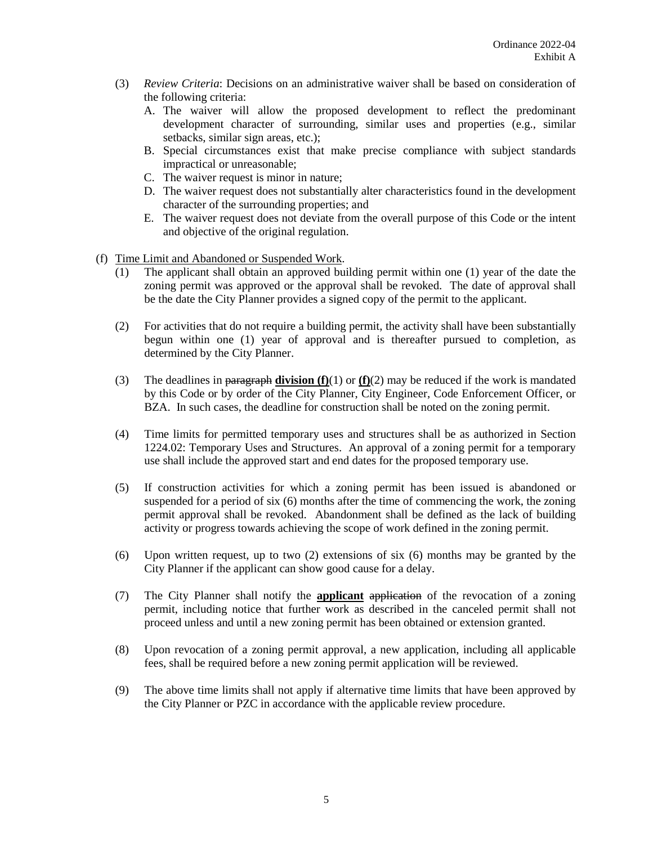- (3) *Review Criteria*: Decisions on an administrative waiver shall be based on consideration of the following criteria:
	- A. The waiver will allow the proposed development to reflect the predominant development character of surrounding, similar uses and properties (e.g., similar setbacks, similar sign areas, etc.);
	- B. Special circumstances exist that make precise compliance with subject standards impractical or unreasonable;
	- C. The waiver request is minor in nature;
	- D. The waiver request does not substantially alter characteristics found in the development character of the surrounding properties; and
	- E. The waiver request does not deviate from the overall purpose of this Code or the intent and objective of the original regulation.
- (f) Time Limit and Abandoned or Suspended Work.
	- (1) The applicant shall obtain an approved building permit within one (1) year of the date the zoning permit was approved or the approval shall be revoked. The date of approval shall be the date the City Planner provides a signed copy of the permit to the applicant.
	- (2) For activities that do not require a building permit, the activity shall have been substantially begun within one (1) year of approval and is thereafter pursued to completion, as determined by the City Planner.
	- (3) The deadlines in paragraph **division (f)**(1) or **(f)**(2) may be reduced if the work is mandated by this Code or by order of the City Planner, City Engineer, Code Enforcement Officer, or BZA. In such cases, the deadline for construction shall be noted on the zoning permit.
	- (4) Time limits for permitted temporary uses and structures shall be as authorized in Section 1224.02: Temporary Uses and Structures. An approval of a zoning permit for a temporary use shall include the approved start and end dates for the proposed temporary use.
	- (5) If construction activities for which a zoning permit has been issued is abandoned or suspended for a period of six (6) months after the time of commencing the work, the zoning permit approval shall be revoked. Abandonment shall be defined as the lack of building activity or progress towards achieving the scope of work defined in the zoning permit.
	- (6) Upon written request, up to two (2) extensions of six (6) months may be granted by the City Planner if the applicant can show good cause for a delay.
	- (7) The City Planner shall notify the **applicant** application of the revocation of a zoning permit, including notice that further work as described in the canceled permit shall not proceed unless and until a new zoning permit has been obtained or extension granted.
	- (8) Upon revocation of a zoning permit approval, a new application, including all applicable fees, shall be required before a new zoning permit application will be reviewed.
	- (9) The above time limits shall not apply if alternative time limits that have been approved by the City Planner or PZC in accordance with the applicable review procedure.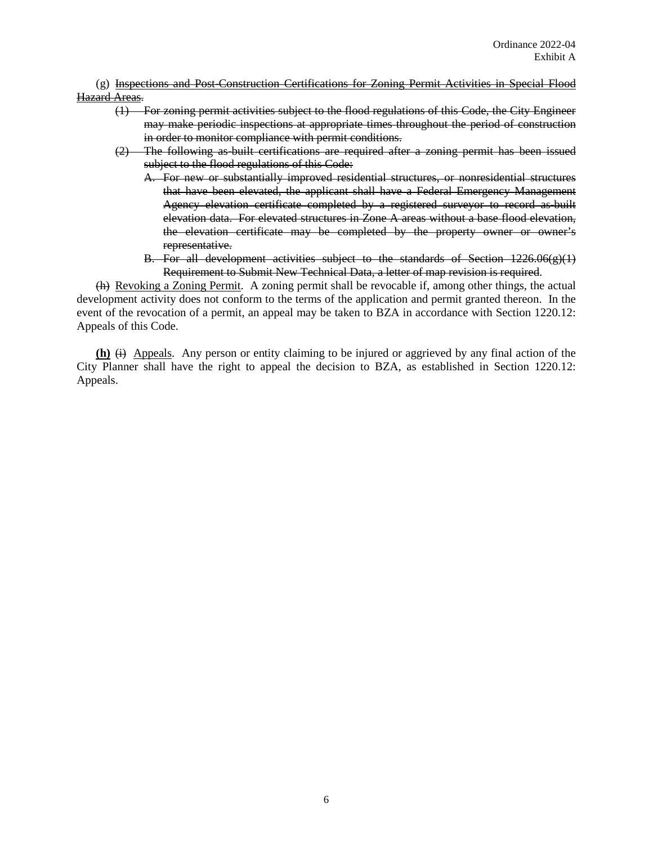(g) Inspections and Post-Construction Certifications for Zoning Permit Activities in Special Flood Hazard Areas.

- (1) For zoning permit activities subject to the flood regulations of this Code, the City Engineer may make periodic inspections at appropriate times throughout the period of construction in order to monitor compliance with permit conditions.
- (2) The following as-built certifications are required after a zoning permit has been issued subject to the flood regulations of this Code:
	- A. For new or substantially improved residential structures, or nonresidential structures that have been elevated, the applicant shall have a Federal Emergency Management Agency elevation certificate completed by a registered surveyor to record as built elevation data. For elevated structures in Zone A areas without a base flood elevation, the elevation certificate may be completed by the property owner or owner's representative.
	- B. For all development activities subject to the standards of Section 1226.06(g)(1) Requirement to Submit New Technical Data, a letter of map revision is required.

(h) Revoking a Zoning Permit. A zoning permit shall be revocable if, among other things, the actual development activity does not conform to the terms of the application and permit granted thereon. In the event of the revocation of a permit, an appeal may be taken to BZA in accordance with Section 1220.12: Appeals of this Code.

 $(h)$   $\leftrightarrow$  Appeals. Any person or entity claiming to be injured or aggrieved by any final action of the City Planner shall have the right to appeal the decision to BZA, as established in Section 1220.12: Appeals.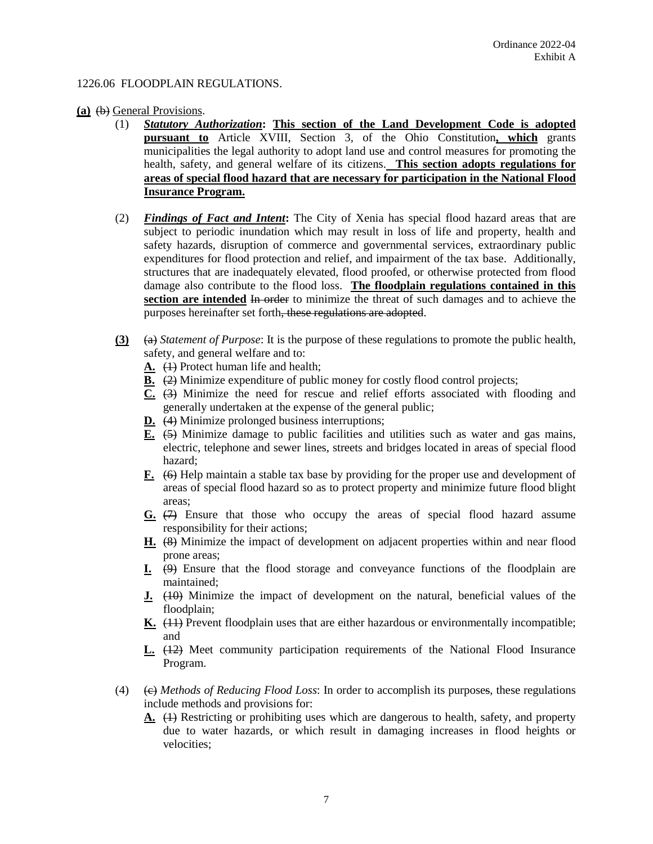## 1226.06 FLOODPLAIN REGULATIONS.

### **(a)** (b) General Provisions.

- (1) *Statutory Authorization***: This section of the Land Development Code is adopted pursuant to** Article XVIII, Section 3, of the Ohio Constitution**, which** grants municipalities the legal authority to adopt land use and control measures for promoting the health, safety, and general welfare of its citizens. **This section adopts regulations for areas of special flood hazard that are necessary for participation in the National Flood Insurance Program.**
- (2) *Findings of Fact and Intent***:** The City of Xenia has special flood hazard areas that are subject to periodic inundation which may result in loss of life and property, health and safety hazards, disruption of commerce and governmental services, extraordinary public expenditures for flood protection and relief, and impairment of the tax base. Additionally, structures that are inadequately elevated, flood proofed, or otherwise protected from flood damage also contribute to the flood loss. **The floodplain regulations contained in this**  section are intended In order to minimize the threat of such damages and to achieve the purposes hereinafter set forth, these regulations are adopted.
- **(3)** (a) *Statement of Purpose*: It is the purpose of these regulations to promote the public health, safety, and general welfare and to:
	- **A.** (1) Protect human life and health;
	- **B.** (2) Minimize expenditure of public money for costly flood control projects;
	- **C.** (3) Minimize the need for rescue and relief efforts associated with flooding and generally undertaken at the expense of the general public;
	- **D.** (4) Minimize prolonged business interruptions;
	- **E.** (5) Minimize damage to public facilities and utilities such as water and gas mains, electric, telephone and sewer lines, streets and bridges located in areas of special flood hazard;
	- **F.** (6) Help maintain a stable tax base by providing for the proper use and development of areas of special flood hazard so as to protect property and minimize future flood blight areas;
	- **G.** (7) Ensure that those who occupy the areas of special flood hazard assume responsibility for their actions;
	- **H.** (8) Minimize the impact of development on adjacent properties within and near flood prone areas;
	- **I.** (9) Ensure that the flood storage and conveyance functions of the floodplain are maintained;
	- **<u>J.</u>** (10) Minimize the impact of development on the natural, beneficial values of the floodplain;
	- **K.** (11) Prevent floodplain uses that are either hazardous or environmentally incompatible; and
	- **L.** (12) Meet community participation requirements of the National Flood Insurance Program.
- (4) (c) *Methods of Reducing Flood Loss*: In order to accomplish its purposes, these regulations include methods and provisions for:
	- **A.** (1) Restricting or prohibiting uses which are dangerous to health, safety, and property due to water hazards, or which result in damaging increases in flood heights or velocities;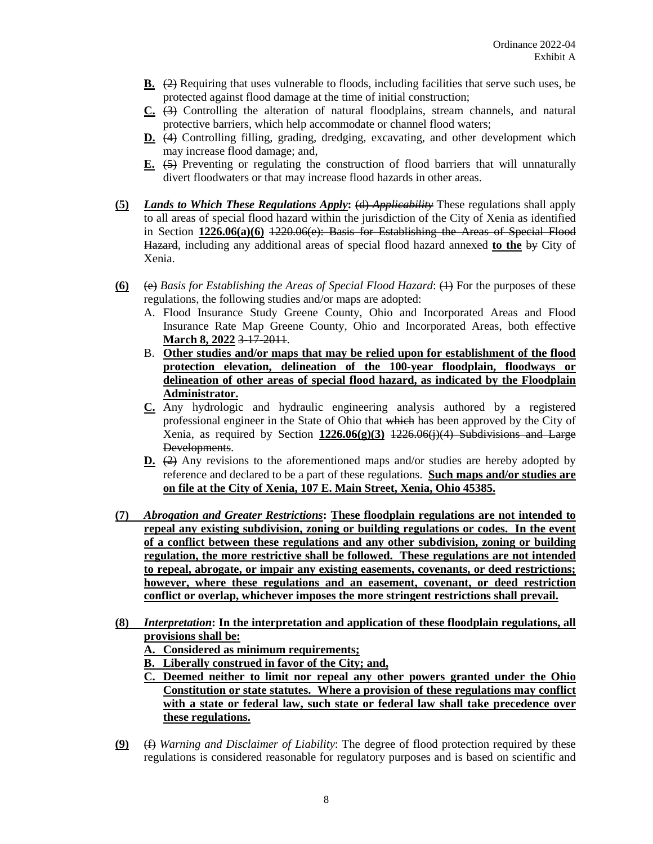- **B.** (2) Requiring that uses vulnerable to floods, including facilities that serve such uses, be protected against flood damage at the time of initial construction;
- **C.** (3) Controlling the alteration of natural floodplains, stream channels, and natural protective barriers, which help accommodate or channel flood waters;
- **D.** (4) Controlling filling, grading, dredging, excavating, and other development which may increase flood damage; and,
- **E.** (5) Preventing or regulating the construction of flood barriers that will unnaturally divert floodwaters or that may increase flood hazards in other areas.
- **(5)** *Lands to Which These Regulations Apply***:** (d) *Applicability* These regulations shall apply to all areas of special flood hazard within the jurisdiction of the City of Xenia as identified in Section **1226.06(a)(6)** 1220.06(e): Basis for Establishing the Areas of Special Flood Hazard, including any additional areas of special flood hazard annexed **to the** by City of Xenia.
- **(6)** (e) *Basis for Establishing the Areas of Special Flood Hazard*: (1) For the purposes of these regulations, the following studies and/or maps are adopted:
	- A. Flood Insurance Study Greene County, Ohio and Incorporated Areas and Flood Insurance Rate Map Greene County, Ohio and Incorporated Areas, both effective **March 8, 2022** 3-17-2011.
	- B. **Other studies and/or maps that may be relied upon for establishment of the flood protection elevation, delineation of the 100-year floodplain, floodways or delineation of other areas of special flood hazard, as indicated by the Floodplain Administrator.**
	- **C.** Any hydrologic and hydraulic engineering analysis authored by a registered professional engineer in the State of Ohio that which has been approved by the City of Xenia, as required by Section **1226.06(g)(3)** 1226.06(j)(4) Subdivisions and Large Developments.
	- **D.** (2) Any revisions to the aforementioned maps and/or studies are hereby adopted by reference and declared to be a part of these regulations. **Such maps and/or studies are on file at the City of Xenia, 107 E. Main Street, Xenia, Ohio 45385.**
- **(7)** *Abrogation and Greater Restrictions***: These floodplain regulations are not intended to repeal any existing subdivision, zoning or building regulations or codes. In the event of a conflict between these regulations and any other subdivision, zoning or building regulation, the more restrictive shall be followed. These regulations are not intended to repeal, abrogate, or impair any existing easements, covenants, or deed restrictions; however, where these regulations and an easement, covenant, or deed restriction conflict or overlap, whichever imposes the more stringent restrictions shall prevail.**
- **(8)** *Interpretation***: In the interpretation and application of these floodplain regulations, all provisions shall be:** 
	- **A. Considered as minimum requirements;**
	- **B. Liberally construed in favor of the City; and,**
	- **C. Deemed neither to limit nor repeal any other powers granted under the Ohio Constitution or state statutes. Where a provision of these regulations may conflict with a state or federal law, such state or federal law shall take precedence over these regulations.**
- **(9)** (f) *Warning and Disclaimer of Liability*: The degree of flood protection required by these regulations is considered reasonable for regulatory purposes and is based on scientific and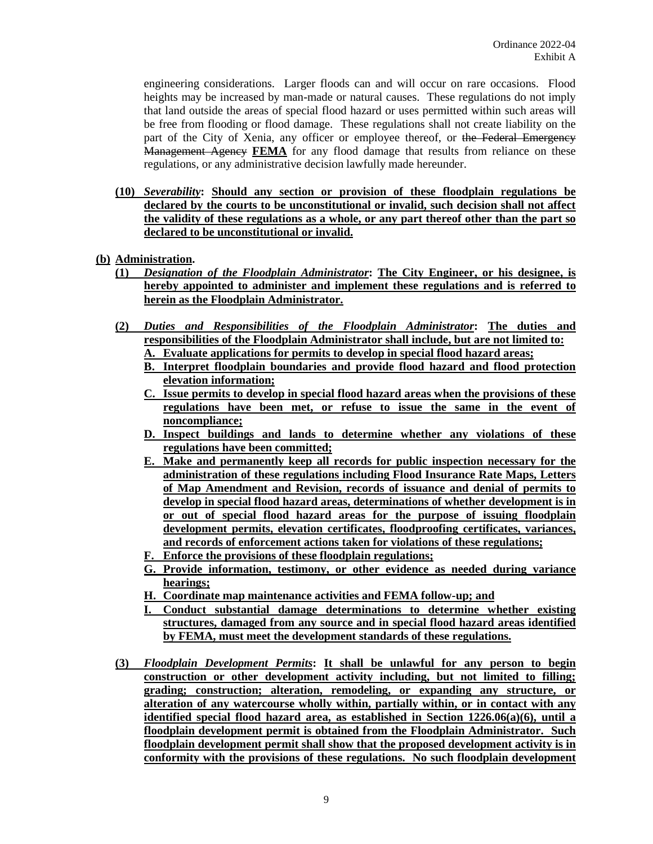engineering considerations. Larger floods can and will occur on rare occasions. Flood heights may be increased by man-made or natural causes. These regulations do not imply that land outside the areas of special flood hazard or uses permitted within such areas will be free from flooding or flood damage. These regulations shall not create liability on the part of the City of Xenia, any officer or employee thereof, or the Federal Emergency Management Agency **FEMA** for any flood damage that results from reliance on these regulations, or any administrative decision lawfully made hereunder.

- **(10)** *Severability***: Should any section or provision of these floodplain regulations be declared by the courts to be unconstitutional or invalid, such decision shall not affect the validity of these regulations as a whole, or any part thereof other than the part so declared to be unconstitutional or invalid.**
- **(b) Administration.**
	- **(1)** *Designation of the Floodplain Administrator***: The City Engineer, or his designee, is hereby appointed to administer and implement these regulations and is referred to herein as the Floodplain Administrator.**
	- **(2)** *Duties and Responsibilities of the Floodplain Administrator***: The duties and responsibilities of the Floodplain Administrator shall include, but are not limited to:**
		- **A. Evaluate applications for permits to develop in special flood hazard areas;**
		- **B. Interpret floodplain boundaries and provide flood hazard and flood protection elevation information;**
		- **C. Issue permits to develop in special flood hazard areas when the provisions of these regulations have been met, or refuse to issue the same in the event of noncompliance;**
		- **D. Inspect buildings and lands to determine whether any violations of these regulations have been committed;**
		- **E. Make and permanently keep all records for public inspection necessary for the administration of these regulations including Flood Insurance Rate Maps, Letters of Map Amendment and Revision, records of issuance and denial of permits to develop in special flood hazard areas, determinations of whether development is in or out of special flood hazard areas for the purpose of issuing floodplain development permits, elevation certificates, floodproofing certificates, variances, and records of enforcement actions taken for violations of these regulations;**
		- **F. Enforce the provisions of these floodplain regulations;**
		- **G. Provide information, testimony, or other evidence as needed during variance hearings;**
		- **H. Coordinate map maintenance activities and FEMA follow-up; and**
		- **I. Conduct substantial damage determinations to determine whether existing structures, damaged from any source and in special flood hazard areas identified by FEMA, must meet the development standards of these regulations.**
	- **(3)** *Floodplain Development Permits***: It shall be unlawful for any person to begin construction or other development activity including, but not limited to filling; grading; construction; alteration, remodeling, or expanding any structure, or alteration of any watercourse wholly within, partially within, or in contact with any identified special flood hazard area, as established in Section 1226.06(a)(6), until a floodplain development permit is obtained from the Floodplain Administrator. Such floodplain development permit shall show that the proposed development activity is in conformity with the provisions of these regulations. No such floodplain development**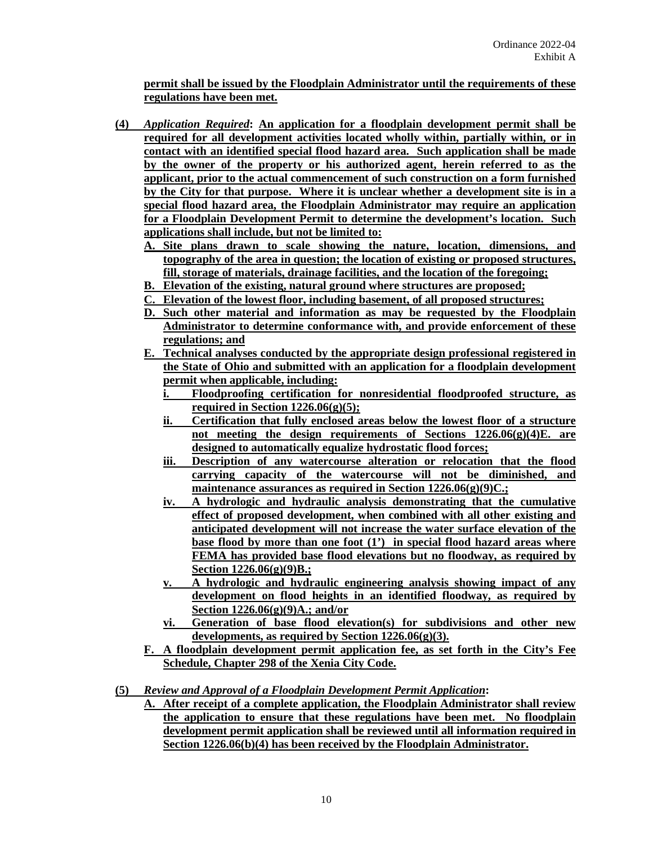**permit shall be issued by the Floodplain Administrator until the requirements of these regulations have been met.**

- **(4)** *Application Required***: An application for a floodplain development permit shall be required for all development activities located wholly within, partially within, or in contact with an identified special flood hazard area. Such application shall be made by the owner of the property or his authorized agent, herein referred to as the applicant, prior to the actual commencement of such construction on a form furnished by the City for that purpose. Where it is unclear whether a development site is in a special flood hazard area, the Floodplain Administrator may require an application for a Floodplain Development Permit to determine the development's location. Such applications shall include, but not be limited to:**
	- **A. Site plans drawn to scale showing the nature, location, dimensions, and topography of the area in question; the location of existing or proposed structures, fill, storage of materials, drainage facilities, and the location of the foregoing;**
	- **B. Elevation of the existing, natural ground where structures are proposed;**
	- **C. Elevation of the lowest floor, including basement, of all proposed structures;**
	- **D. Such other material and information as may be requested by the Floodplain Administrator to determine conformance with, and provide enforcement of these regulations; and**
	- **E. Technical analyses conducted by the appropriate design professional registered in the State of Ohio and submitted with an application for a floodplain development permit when applicable, including:**
		- **i. Floodproofing certification for nonresidential floodproofed structure, as required in Section 1226.06(g)(5);**
		- **ii. Certification that fully enclosed areas below the lowest floor of a structure not meeting the design requirements of Sections 1226.06(g)(4)E. are designed to automatically equalize hydrostatic flood forces;**
		- **iii. Description of any watercourse alteration or relocation that the flood carrying capacity of the watercourse will not be diminished, and maintenance assurances as required in Section 1226.06(g)(9)C.;**
		- **iv. A hydrologic and hydraulic analysis demonstrating that the cumulative effect of proposed development, when combined with all other existing and anticipated development will not increase the water surface elevation of the base flood by more than one foot (1') in special flood hazard areas where FEMA has provided base flood elevations but no floodway, as required by Section 1226.06(g)(9)B.;**
		- **v. A hydrologic and hydraulic engineering analysis showing impact of any development on flood heights in an identified floodway, as required by Section 1226.06(g)(9)A.; and/or**
		- **vi. Generation of base flood elevation(s) for subdivisions and other new developments, as required by Section 1226.06(g)(3).**
	- **F. A floodplain development permit application fee, as set forth in the City's Fee Schedule, Chapter 298 of the Xenia City Code.**
- **(5)** *Review and Approval of a Floodplain Development Permit Application***:**
	- **A. After receipt of a complete application, the Floodplain Administrator shall review the application to ensure that these regulations have been met. No floodplain development permit application shall be reviewed until all information required in Section 1226.06(b)(4) has been received by the Floodplain Administrator.**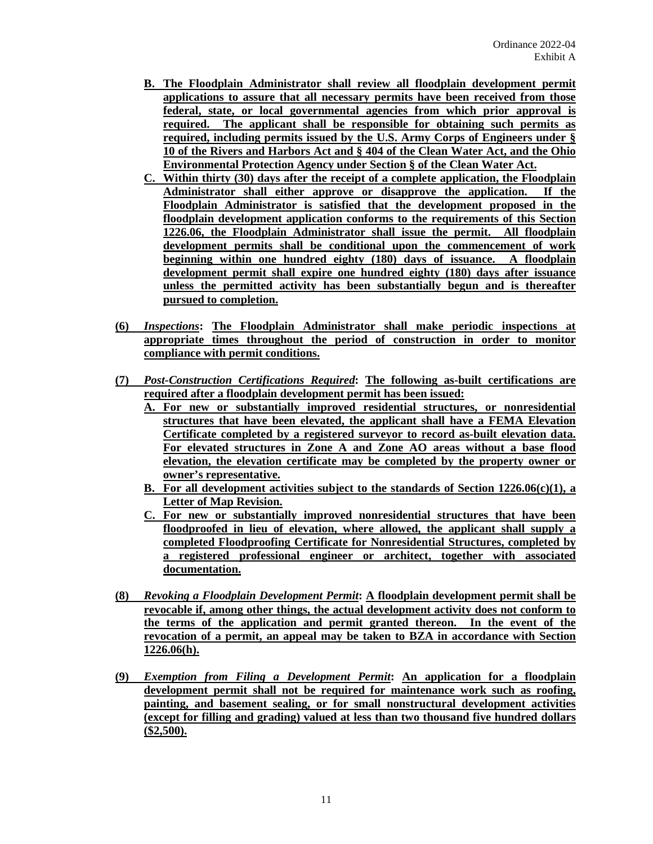- **B. The Floodplain Administrator shall review all floodplain development permit applications to assure that all necessary permits have been received from those federal, state, or local governmental agencies from which prior approval is required. The applicant shall be responsible for obtaining such permits as required, including permits issued by the U.S. Army Corps of Engineers under § 10 of the Rivers and Harbors Act and § 404 of the Clean Water Act, and the Ohio Environmental Protection Agency under Section § of the Clean Water Act.**
- **C. Within thirty (30) days after the receipt of a complete application, the Floodplain Administrator shall either approve or disapprove the application. If the Floodplain Administrator is satisfied that the development proposed in the floodplain development application conforms to the requirements of this Section 1226.06, the Floodplain Administrator shall issue the permit. All floodplain development permits shall be conditional upon the commencement of work beginning within one hundred eighty (180) days of issuance. A floodplain development permit shall expire one hundred eighty (180) days after issuance unless the permitted activity has been substantially begun and is thereafter pursued to completion.**
- **(6)** *Inspections***: The Floodplain Administrator shall make periodic inspections at appropriate times throughout the period of construction in order to monitor compliance with permit conditions.**
- **(7)** *Post-Construction Certifications Required***: The following as-built certifications are required after a floodplain development permit has been issued:**
	- **A. For new or substantially improved residential structures, or nonresidential structures that have been elevated, the applicant shall have a FEMA Elevation Certificate completed by a registered surveyor to record as-built elevation data. For elevated structures in Zone A and Zone AO areas without a base flood elevation, the elevation certificate may be completed by the property owner or owner's representative.**
	- **B. For all development activities subject to the standards of Section 1226.06(c)(1), a Letter of Map Revision.**
	- **C. For new or substantially improved nonresidential structures that have been floodproofed in lieu of elevation, where allowed, the applicant shall supply a completed Floodproofing Certificate for Nonresidential Structures, completed by a registered professional engineer or architect, together with associated documentation.**
- **(8)** *Revoking a Floodplain Development Permit***: A floodplain development permit shall be revocable if, among other things, the actual development activity does not conform to the terms of the application and permit granted thereon. In the event of the revocation of a permit, an appeal may be taken to BZA in accordance with Section 1226.06(h).**
- **(9)** *Exemption from Filing a Development Permit***: An application for a floodplain development permit shall not be required for maintenance work such as roofing, painting, and basement sealing, or for small nonstructural development activities (except for filling and grading) valued at less than two thousand five hundred dollars (\$2,500).**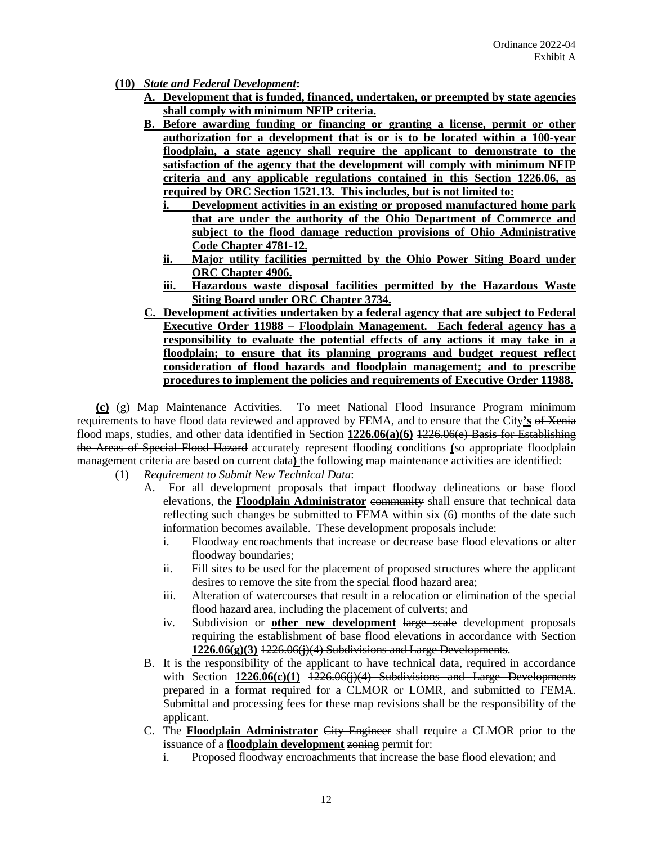- **(10)** *State and Federal Development***:**
	- **A. Development that is funded, financed, undertaken, or preempted by state agencies shall comply with minimum NFIP criteria.**
	- **B. Before awarding funding or financing or granting a license, permit or other authorization for a development that is or is to be located within a 100-year floodplain, a state agency shall require the applicant to demonstrate to the satisfaction of the agency that the development will comply with minimum NFIP criteria and any applicable regulations contained in this Section 1226.06, as required by ORC Section 1521.13. This includes, but is not limited to:**
		- **i. Development activities in an existing or proposed manufactured home park that are under the authority of the Ohio Department of Commerce and subject to the flood damage reduction provisions of Ohio Administrative Code Chapter 4781-12.**
		- **ii. Major utility facilities permitted by the Ohio Power Siting Board under ORC Chapter 4906.**
		- **iii. Hazardous waste disposal facilities permitted by the Hazardous Waste Siting Board under ORC Chapter 3734.**
	- **C. Development activities undertaken by a federal agency that are subject to Federal Executive Order 11988 – Floodplain Management. Each federal agency has a responsibility to evaluate the potential effects of any actions it may take in a floodplain; to ensure that its planning programs and budget request reflect consideration of flood hazards and floodplain management; and to prescribe procedures to implement the policies and requirements of Executive Order 11988.**

**(c)** (g) Map Maintenance Activities. To meet National Flood Insurance Program minimum requirements to have flood data reviewed and approved by FEMA, and to ensure that the City**'s** of Xenia flood maps, studies, and other data identified in Section **1226.06(a)(6)** 1226.06(e) Basis for Establishing the Areas of Special Flood Hazard accurately represent flooding conditions **(**so appropriate floodplain management criteria are based on current data**)** the following map maintenance activities are identified:

- (1) *Requirement to Submit New Technical Data*:
	- A. For all development proposals that impact floodway delineations or base flood elevations, the **Floodplain Administrator** community shall ensure that technical data reflecting such changes be submitted to FEMA within six (6) months of the date such information becomes available. These development proposals include:
		- i. Floodway encroachments that increase or decrease base flood elevations or alter floodway boundaries;
		- ii. Fill sites to be used for the placement of proposed structures where the applicant desires to remove the site from the special flood hazard area;
		- iii. Alteration of watercourses that result in a relocation or elimination of the special flood hazard area, including the placement of culverts; and
		- iv. Subdivision or **other new development** large scale development proposals requiring the establishment of base flood elevations in accordance with Section **1226.06(g)(3)** 1226.06(j)(4) Subdivisions and Large Developments.
	- B. It is the responsibility of the applicant to have technical data, required in accordance with Section **1226.06(c)**(1) <del>1226.06(j)(4) Subdivisions and Large Developments</del> prepared in a format required for a CLMOR or LOMR, and submitted to FEMA. Submittal and processing fees for these map revisions shall be the responsibility of the applicant.
	- C. The **Floodplain Administrator** City Engineer shall require a CLMOR prior to the issuance of a **floodplain development** zoning permit for:
		- i. Proposed floodway encroachments that increase the base flood elevation; and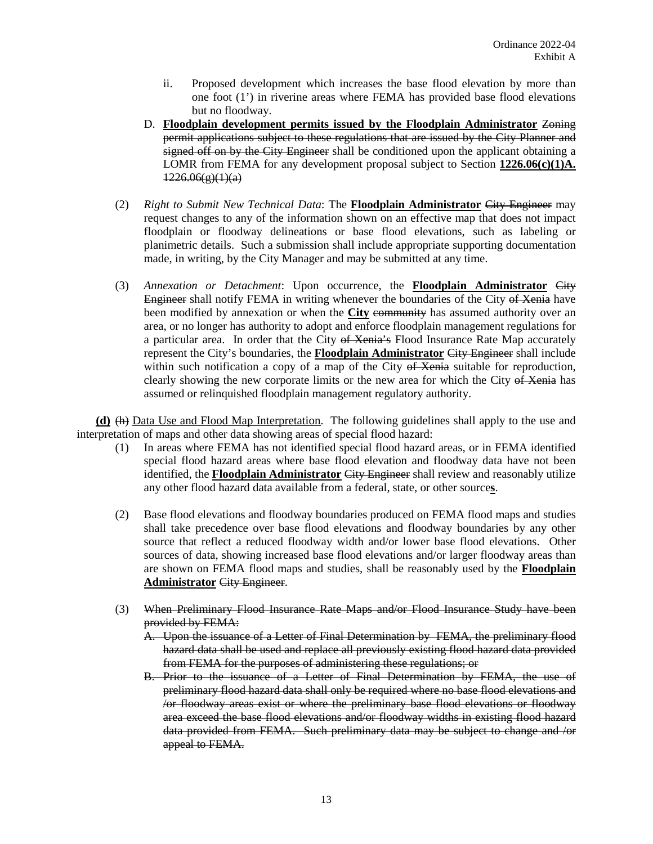- ii. Proposed development which increases the base flood elevation by more than one foot (1') in riverine areas where FEMA has provided base flood elevations but no floodway.
- D. **Floodplain development permits issued by the Floodplain Administrator** Zoning permit applications subject to these regulations that are issued by the City Planner and signed off on by the City Engineer shall be conditioned upon the applicant obtaining a LOMR from FEMA for any development proposal subject to Section **1226.06(c)(1)A.**  $1226.06(g)(1)(a)$
- (2) *Right to Submit New Technical Data*: The **Floodplain Administrator** City Engineer may request changes to any of the information shown on an effective map that does not impact floodplain or floodway delineations or base flood elevations, such as labeling or planimetric details. Such a submission shall include appropriate supporting documentation made, in writing, by the City Manager and may be submitted at any time.
- (3) *Annexation or Detachment*: Upon occurrence, the **Floodplain Administrator** City Engineer shall notify FEMA in writing whenever the boundaries of the City of Xenia have been modified by annexation or when the **City** community has assumed authority over an area, or no longer has authority to adopt and enforce floodplain management regulations for a particular area. In order that the City of Xenia's Flood Insurance Rate Map accurately represent the City's boundaries, the **Floodplain Administrator** City Engineer shall include within such notification a copy of a map of the City of Xenia suitable for reproduction, clearly showing the new corporate limits or the new area for which the City of Xenia has assumed or relinquished floodplain management regulatory authority.

**(d)** (h) Data Use and Flood Map Interpretation. The following guidelines shall apply to the use and interpretation of maps and other data showing areas of special flood hazard:

- (1) In areas where FEMA has not identified special flood hazard areas, or in FEMA identified special flood hazard areas where base flood elevation and floodway data have not been identified, the **Floodplain Administrator** City Engineer shall review and reasonably utilize any other flood hazard data available from a federal, state, or other source**s**.
- (2) Base flood elevations and floodway boundaries produced on FEMA flood maps and studies shall take precedence over base flood elevations and floodway boundaries by any other source that reflect a reduced floodway width and/or lower base flood elevations. Other sources of data, showing increased base flood elevations and/or larger floodway areas than are shown on FEMA flood maps and studies, shall be reasonably used by the **Floodplain Administrator** City Engineer.
- (3) When Preliminary Flood Insurance Rate Maps and/or Flood Insurance Study have been provided by FEMA:
	- A. Upon the issuance of a Letter of Final Determination by FEMA, the preliminary flood hazard data shall be used and replace all previously existing flood hazard data provided from FEMA for the purposes of administering these regulations; or
	- B. Prior to the issuance of a Letter of Final Determination by FEMA, the use of preliminary flood hazard data shall only be required where no base flood elevations and /or floodway areas exist or where the preliminary base flood elevations or floodway area exceed the base flood elevations and/or floodway widths in existing flood hazard data provided from FEMA. Such preliminary data may be subject to change and /or appeal to FEMA.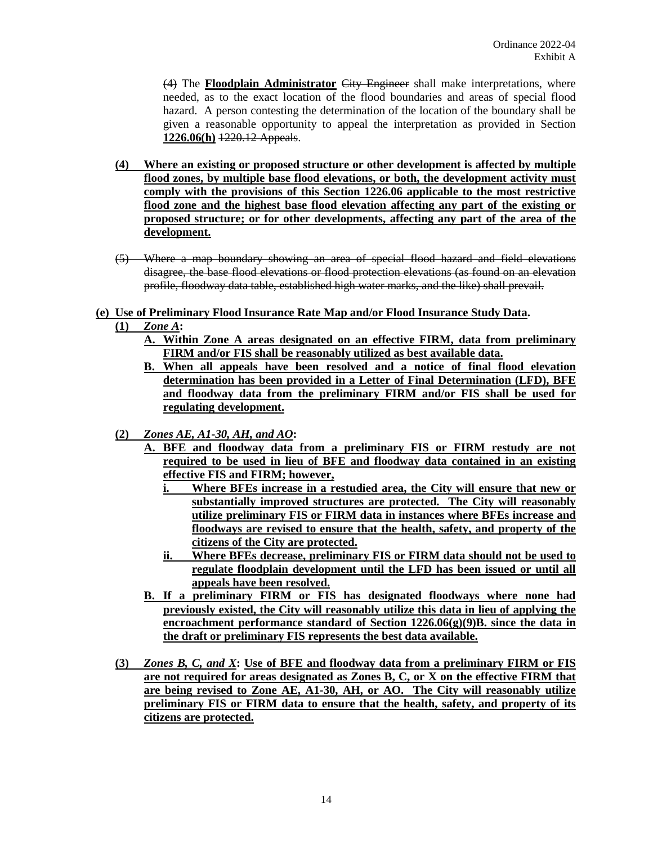(4) The **Floodplain Administrator** City Engineer shall make interpretations, where needed, as to the exact location of the flood boundaries and areas of special flood hazard. A person contesting the determination of the location of the boundary shall be given a reasonable opportunity to appeal the interpretation as provided in Section **1226.06(h)** 1220.12 Appeals.

- **(4) Where an existing or proposed structure or other development is affected by multiple flood zones, by multiple base flood elevations, or both, the development activity must comply with the provisions of this Section 1226.06 applicable to the most restrictive flood zone and the highest base flood elevation affecting any part of the existing or proposed structure; or for other developments, affecting any part of the area of the development.**
- (5) Where a map boundary showing an area of special flood hazard and field elevations disagree, the base flood elevations or flood protection elevations (as found on an elevation profile, floodway data table, established high water marks, and the like) shall prevail.

# **(e) Use of Preliminary Flood Insurance Rate Map and/or Flood Insurance Study Data.**

- **(1)** *Zone A***:**
	- **A. Within Zone A areas designated on an effective FIRM, data from preliminary FIRM and/or FIS shall be reasonably utilized as best available data.**
	- **B. When all appeals have been resolved and a notice of final flood elevation determination has been provided in a Letter of Final Determination (LFD), BFE and floodway data from the preliminary FIRM and/or FIS shall be used for regulating development.**
- **(2)** *Zones AE, A1-30, AH, and AO***:**
	- **A. BFE and floodway data from a preliminary FIS or FIRM restudy are not required to be used in lieu of BFE and floodway data contained in an existing effective FIS and FIRM; however,**
		- **i. Where BFEs increase in a restudied area, the City will ensure that new or substantially improved structures are protected. The City will reasonably utilize preliminary FIS or FIRM data in instances where BFEs increase and floodways are revised to ensure that the health, safety, and property of the citizens of the City are protected.**
		- **ii. Where BFEs decrease, preliminary FIS or FIRM data should not be used to regulate floodplain development until the LFD has been issued or until all appeals have been resolved.**
	- **B. If a preliminary FIRM or FIS has designated floodways where none had previously existed, the City will reasonably utilize this data in lieu of applying the encroachment performance standard of Section 1226.06(g)(9)B. since the data in the draft or preliminary FIS represents the best data available.**
- **(3)** *Zones B, C, and X***: Use of BFE and floodway data from a preliminary FIRM or FIS are not required for areas designated as Zones B, C, or X on the effective FIRM that are being revised to Zone AE, A1-30, AH, or AO. The City will reasonably utilize preliminary FIS or FIRM data to ensure that the health, safety, and property of its citizens are protected.**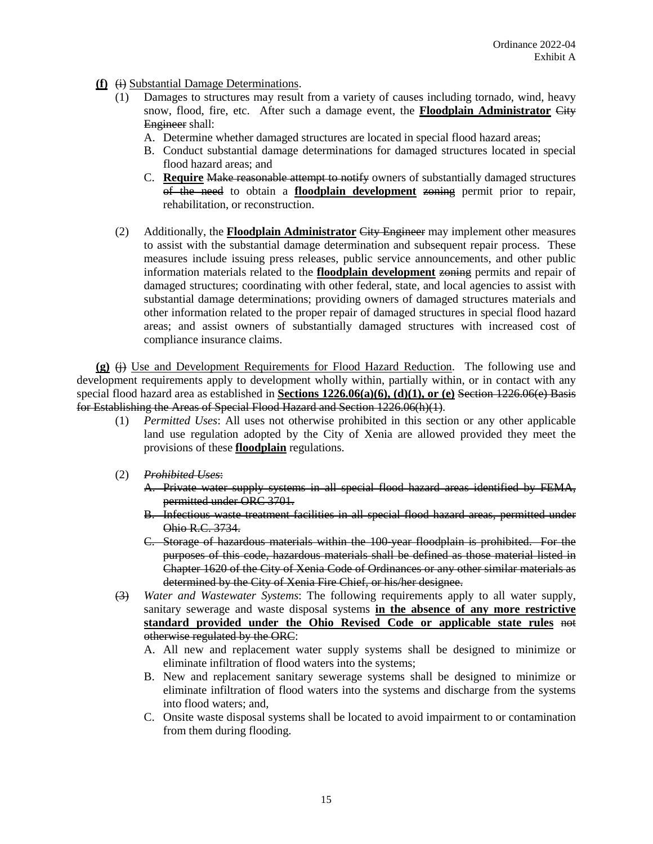- **(f)**  $\overleftrightarrow{(i)}$  Substantial Damage Determinations.
	- (1) Damages to structures may result from a variety of causes including tornado, wind, heavy snow, flood, fire, etc. After such a damage event, the **Floodplain Administrator** City Engineer shall:
		- A. Determine whether damaged structures are located in special flood hazard areas;
		- B. Conduct substantial damage determinations for damaged structures located in special flood hazard areas; and
		- C. **Require** Make reasonable attempt to notify owners of substantially damaged structures of the need to obtain a **floodplain development** zoning permit prior to repair, rehabilitation, or reconstruction.
	- (2) Additionally, the **Floodplain Administrator** City Engineer may implement other measures to assist with the substantial damage determination and subsequent repair process. These measures include issuing press releases, public service announcements, and other public information materials related to the **floodplain development** zoning permits and repair of damaged structures; coordinating with other federal, state, and local agencies to assist with substantial damage determinations; providing owners of damaged structures materials and other information related to the proper repair of damaged structures in special flood hazard areas; and assist owners of substantially damaged structures with increased cost of compliance insurance claims.

 $(g)$   $\leftrightarrow$  Use and Development Requirements for Flood Hazard Reduction. The following use and development requirements apply to development wholly within, partially within, or in contact with any special flood hazard area as established in **Sections 1226.06(a)(6), (d)(1), or (e)** Section 1226.06(e) Basis for Establishing the Areas of Special Flood Hazard and Section 1226.06(h)(1).

- (1) *Permitted Uses*: All uses not otherwise prohibited in this section or any other applicable land use regulation adopted by the City of Xenia are allowed provided they meet the provisions of these **floodplain** regulations.
- (2) *Prohibited Uses*:
	- A. Private water supply systems in all special flood hazard areas identified by FEMA, permitted under ORC 3701.
	- B. Infectious waste treatment facilities in all special flood hazard areas, permitted under Ohio R.C. 3734.
	- C. Storage of hazardous materials within the 100-year floodplain is prohibited. For the purposes of this code, hazardous materials shall be defined as those material listed in Chapter 1620 of the City of Xenia Code of Ordinances or any other similar materials as determined by the City of Xenia Fire Chief, or his/her designee.
- (3) *Water and Wastewater Systems*: The following requirements apply to all water supply, sanitary sewerage and waste disposal systems **in the absence of any more restrictive standard provided under the Ohio Revised Code or applicable state rules** not otherwise regulated by the ORC:
	- A. All new and replacement water supply systems shall be designed to minimize or eliminate infiltration of flood waters into the systems;
	- B. New and replacement sanitary sewerage systems shall be designed to minimize or eliminate infiltration of flood waters into the systems and discharge from the systems into flood waters; and,
	- C. Onsite waste disposal systems shall be located to avoid impairment to or contamination from them during flooding.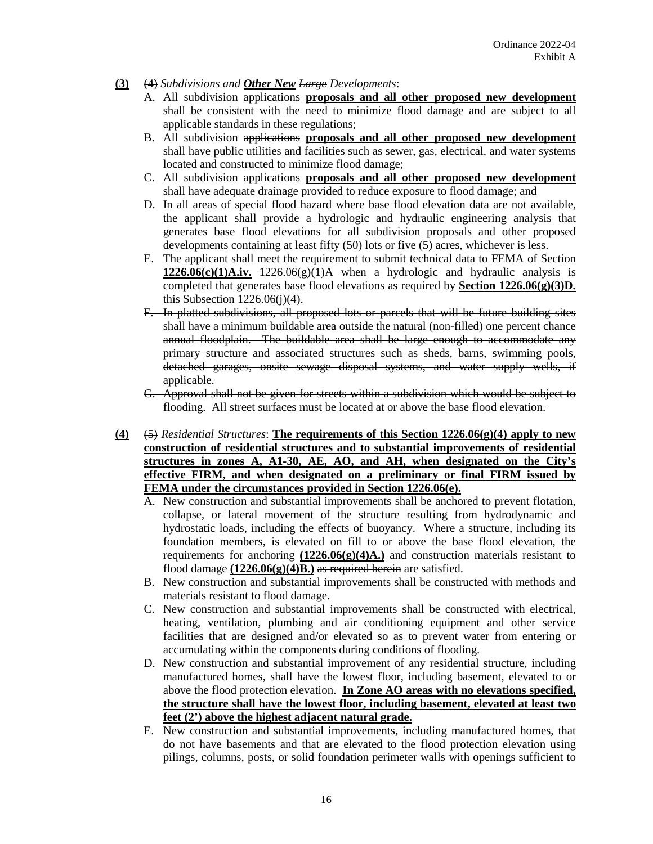- **(3)** (4) *Subdivisions and Other New Large Developments*:
	- A. All subdivision applications **proposals and all other proposed new development** shall be consistent with the need to minimize flood damage and are subject to all applicable standards in these regulations;
	- B. All subdivision applications **proposals and all other proposed new development** shall have public utilities and facilities such as sewer, gas, electrical, and water systems located and constructed to minimize flood damage;
	- C. All subdivision applications **proposals and all other proposed new development** shall have adequate drainage provided to reduce exposure to flood damage; and
	- D. In all areas of special flood hazard where base flood elevation data are not available, the applicant shall provide a hydrologic and hydraulic engineering analysis that generates base flood elevations for all subdivision proposals and other proposed developments containing at least fifty (50) lots or five (5) acres, whichever is less.
	- E. The applicant shall meet the requirement to submit technical data to FEMA of Section **1226.06(c)(1)A.iv.**  $1226.06(e)(1)$ A when a hydrologic and hydraulic analysis is completed that generates base flood elevations as required by **Section 1226.06(g)(3)D.** this Subsection  $1226.06(j)(4)$ .
	- F. In platted subdivisions, all proposed lots or parcels that will be future building sites shall have a minimum buildable area outside the natural (non-filled) one percent chance annual floodplain. The buildable area shall be large enough to accommodate any primary structure and associated structures such as sheds, barns, swimming pools, detached garages, onsite sewage disposal systems, and water supply wells, if applicable.
	- G. Approval shall not be given for streets within a subdivision which would be subject to flooding. All street surfaces must be located at or above the base flood elevation.
- **(4)** (5) *Residential Structures*: **The requirements of this Section 1226.06(g)(4) apply to new construction of residential structures and to substantial improvements of residential structures in zones A, A1-30, AE, AO, and AH, when designated on the City's effective FIRM, and when designated on a preliminary or final FIRM issued by FEMA under the circumstances provided in Section 1226.06(e).**
	- A. New construction and substantial improvements shall be anchored to prevent flotation, collapse, or lateral movement of the structure resulting from hydrodynamic and hydrostatic loads, including the effects of buoyancy. Where a structure, including its foundation members, is elevated on fill to or above the base flood elevation, the requirements for anchoring  $(1226.06(g)(4)A)$  and construction materials resistant to flood damage  $(1226.06(g)(4)B)$  as required herein are satisfied.
	- B. New construction and substantial improvements shall be constructed with methods and materials resistant to flood damage.
	- C. New construction and substantial improvements shall be constructed with electrical, heating, ventilation, plumbing and air conditioning equipment and other service facilities that are designed and/or elevated so as to prevent water from entering or accumulating within the components during conditions of flooding.
	- D. New construction and substantial improvement of any residential structure, including manufactured homes, shall have the lowest floor, including basement, elevated to or above the flood protection elevation. **In Zone AO areas with no elevations specified, the structure shall have the lowest floor, including basement, elevated at least two feet (2') above the highest adjacent natural grade.**
	- E. New construction and substantial improvements, including manufactured homes, that do not have basements and that are elevated to the flood protection elevation using pilings, columns, posts, or solid foundation perimeter walls with openings sufficient to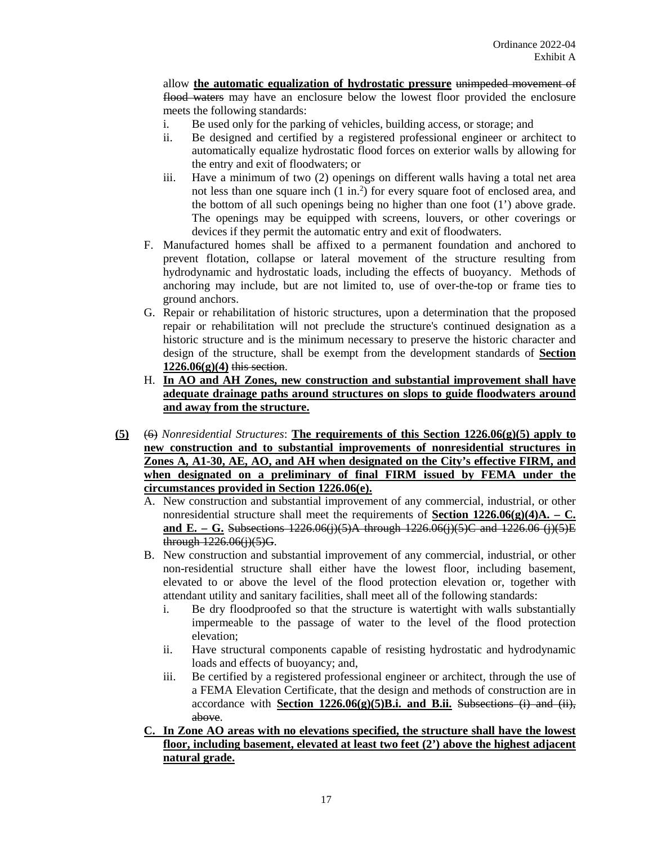allow **the automatic equalization of hydrostatic pressure** unimpeded movement of flood waters may have an enclosure below the lowest floor provided the enclosure meets the following standards:

- i. Be used only for the parking of vehicles, building access, or storage; and
- ii. Be designed and certified by a registered professional engineer or architect to automatically equalize hydrostatic flood forces on exterior walls by allowing for the entry and exit of floodwaters; or
- iii. Have a minimum of two (2) openings on different walls having a total net area not less than one square inch (1 in.<sup>2</sup>) for every square foot of enclosed area, and the bottom of all such openings being no higher than one foot (1') above grade. The openings may be equipped with screens, louvers, or other coverings or devices if they permit the automatic entry and exit of floodwaters.
- F. Manufactured homes shall be affixed to a permanent foundation and anchored to prevent flotation, collapse or lateral movement of the structure resulting from hydrodynamic and hydrostatic loads, including the effects of buoyancy. Methods of anchoring may include, but are not limited to, use of over-the-top or frame ties to ground anchors.
- G. Repair or rehabilitation of historic structures, upon a determination that the proposed repair or rehabilitation will not preclude the structure's continued designation as a historic structure and is the minimum necessary to preserve the historic character and design of the structure, shall be exempt from the development standards of **Section 1226.06(g)(4)** this section.
- H. **In AO and AH Zones, new construction and substantial improvement shall have adequate drainage paths around structures on slops to guide floodwaters around and away from the structure.**
- **(5)** (6) *Nonresidential Structures*: **The requirements of this Section 1226.06(g)(5) apply to new construction and to substantial improvements of nonresidential structures in Zones A, A1-30, AE, AO, and AH when designated on the City's effective FIRM, and when designated on a preliminary of final FIRM issued by FEMA under the circumstances provided in Section 1226.06(e).**
	- A. New construction and substantial improvement of any commercial, industrial, or other nonresidential structure shall meet the requirements of **Section 1226.06(g)(4)A. – C. and E. – G.** Subsections 1226.06(j)(5)A through 1226.06(j)(5)C and 1226.06 (j)(5)E through 1226.06(j)(5)G.
	- B. New construction and substantial improvement of any commercial, industrial, or other non-residential structure shall either have the lowest floor, including basement, elevated to or above the level of the flood protection elevation or, together with attendant utility and sanitary facilities, shall meet all of the following standards:
		- i. Be dry floodproofed so that the structure is watertight with walls substantially impermeable to the passage of water to the level of the flood protection elevation;
		- ii. Have structural components capable of resisting hydrostatic and hydrodynamic loads and effects of buoyancy; and,
		- iii. Be certified by a registered professional engineer or architect, through the use of a FEMA Elevation Certificate*,* that the design and methods of construction are in accordance with **Section 1226.06(g)(5)B.i. and B.ii.** Subsections (i) and (ii), above.
	- **C. In Zone AO areas with no elevations specified, the structure shall have the lowest floor, including basement, elevated at least two feet (2') above the highest adjacent natural grade.**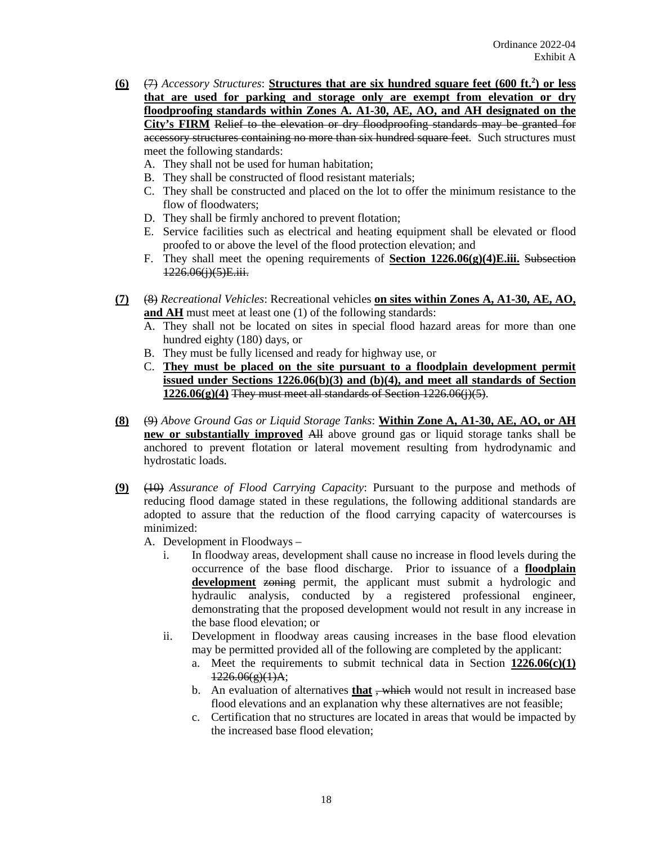- **(6)**  $\left(\frac{7}{7}\right)$  *Accessory Structures*: **Structures that are six hundred square feet (600 ft.<sup>2</sup>) or less that are used for parking and storage only are exempt from elevation or dry floodproofing standards within Zones A. A1-30, AE, AO, and AH designated on the City's FIRM** Relief to the elevation or dry floodproofing standards may be granted for accessory structures containing no more than six hundred square feet. Such structures must meet the following standards:
	- A. They shall not be used for human habitation;
	- B. They shall be constructed of flood resistant materials;
	- C. They shall be constructed and placed on the lot to offer the minimum resistance to the flow of floodwaters;
	- D. They shall be firmly anchored to prevent flotation;
	- E. Service facilities such as electrical and heating equipment shall be elevated or flood proofed to or above the level of the flood protection elevation; and
	- F. They shall meet the opening requirements of **Section 1226.06(g)(4)E.iii.** Subsection 1226.06(j)(5)E.iii.
- **(7)** (8) *Recreational Vehicles*: Recreational vehicles **on sites within Zones A, A1-30, AE, AO, and AH** must meet at least one (1) of the following standards:
	- A. They shall not be located on sites in special flood hazard areas for more than one hundred eighty (180) days, or
	- B. They must be fully licensed and ready for highway use, or
	- C. **They must be placed on the site pursuant to a floodplain development permit issued under Sections 1226.06(b)(3) and (b)(4), and meet all standards of Section 1226.06(g)(4)** They must meet all standards of Section 1226.06(j)(5).
- **(8)** (9) *Above Ground Gas or Liquid Storage Tanks*: **Within Zone A, A1-30, AE, AO, or AH new or substantially improved** All above ground gas or liquid storage tanks shall be anchored to prevent flotation or lateral movement resulting from hydrodynamic and hydrostatic loads.
- **(9)** (10) *Assurance of Flood Carrying Capacity*: Pursuant to the purpose and methods of reducing flood damage stated in these regulations, the following additional standards are adopted to assure that the reduction of the flood carrying capacity of watercourses is minimized:
	- A. Development in Floodways
		- i. In floodway areas, development shall cause no increase in flood levels during the occurrence of the base flood discharge. Prior to issuance of a **floodplain development** zoning permit, the applicant must submit a hydrologic and hydraulic analysis, conducted by a registered professional engineer, demonstrating that the proposed development would not result in any increase in the base flood elevation; or
		- ii. Development in floodway areas causing increases in the base flood elevation may be permitted provided all of the following are completed by the applicant:
			- a. Meet the requirements to submit technical data in Section **1226.06(c)(1)**  $1226.06(g)(1)$ A;
			- b. An evaluation of alternatives **that**, which would not result in increased base flood elevations and an explanation why these alternatives are not feasible;
			- c. Certification that no structures are located in areas that would be impacted by the increased base flood elevation;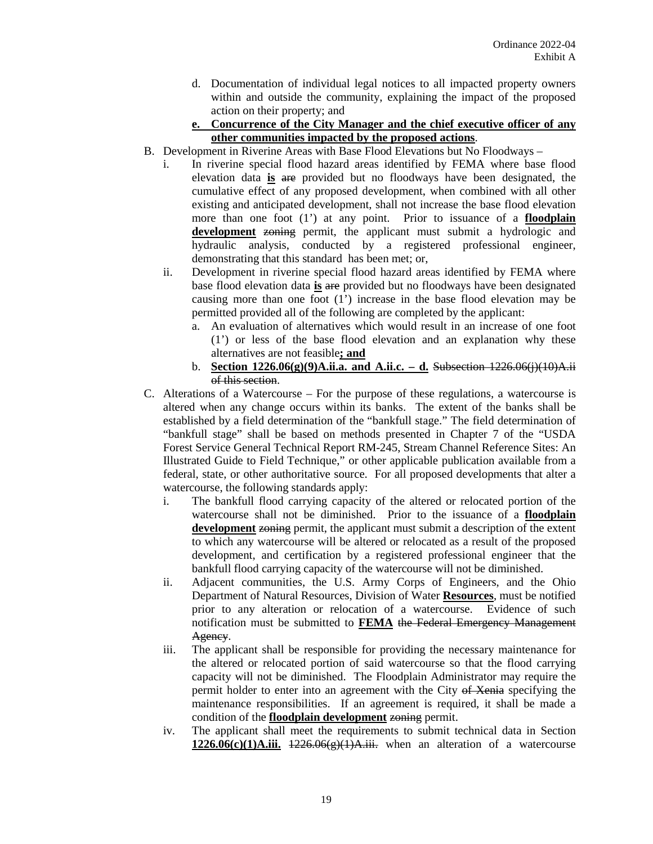- d. Documentation of individual legal notices to all impacted property owners within and outside the community, explaining the impact of the proposed action on their property; and
- **e. Concurrence of the City Manager and the chief executive officer of any other communities impacted by the proposed actions**.
- B. Development in Riverine Areas with Base Flood Elevations but No Floodways
	- i. In riverine special flood hazard areas identified by FEMA where base flood elevation data **is** are provided but no floodways have been designated, the cumulative effect of any proposed development, when combined with all other existing and anticipated development, shall not increase the base flood elevation more than one foot (1') at any point. Prior to issuance of a **floodplain development** zoning permit, the applicant must submit a hydrologic and hydraulic analysis, conducted by a registered professional engineer, demonstrating that this standard has been met; or,
	- ii. Development in riverine special flood hazard areas identified by FEMA where base flood elevation data **is** are provided but no floodways have been designated causing more than one foot (1') increase in the base flood elevation may be permitted provided all of the following are completed by the applicant:
		- a. An evaluation of alternatives which would result in an increase of one foot (1') or less of the base flood elevation and an explanation why these alternatives are not feasible**; and**
		- b. **Section 1226.06(g)(9)A.ii.a. and A.ii.c. – d.** Subsection 1226.06(j)(10)A.ii of this section.
- C. Alterations of a Watercourse For the purpose of these regulations, a watercourse is altered when any change occurs within its banks. The extent of the banks shall be established by a field determination of the "bankfull stage." The field determination of "bankfull stage" shall be based on methods presented in Chapter 7 of the "USDA Forest Service General Technical Report RM-245, Stream Channel Reference Sites: An Illustrated Guide to Field Technique," or other applicable publication available from a federal, state, or other authoritative source. For all proposed developments that alter a watercourse, the following standards apply:
	- i. The bankfull flood carrying capacity of the altered or relocated portion of the watercourse shall not be diminished. Prior to the issuance of a **floodplain development** zoning permit, the applicant must submit a description of the extent to which any watercourse will be altered or relocated as a result of the proposed development, and certification by a registered professional engineer that the bankfull flood carrying capacity of the watercourse will not be diminished.
	- ii. Adjacent communities, the U.S. Army Corps of Engineers, and the Ohio Department of Natural Resources, Division of Water **Resources**, must be notified prior to any alteration or relocation of a watercourse. Evidence of such notification must be submitted to **FEMA** the Federal Emergency Management Agency.
	- iii. The applicant shall be responsible for providing the necessary maintenance for the altered or relocated portion of said watercourse so that the flood carrying capacity will not be diminished. The Floodplain Administrator may require the permit holder to enter into an agreement with the City of Xenia specifying the maintenance responsibilities. If an agreement is required, it shall be made a condition of the **floodplain development** zoning permit.
	- iv. The applicant shall meet the requirements to submit technical data in Section  $1226.06(c)(1)$ A.iii.  $1226.06(g)(1)$ A.iii. when an alteration of a watercourse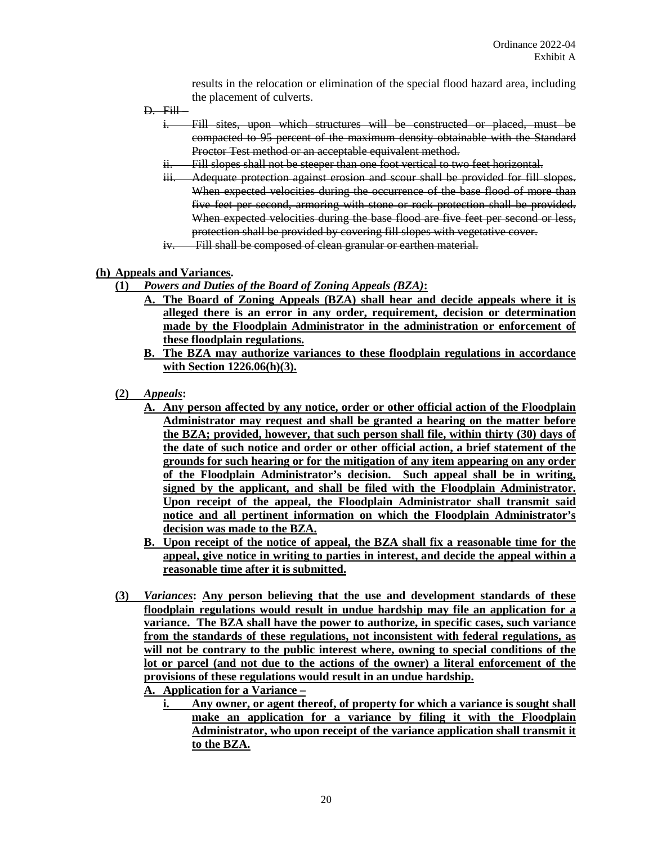results in the relocation or elimination of the special flood hazard area, including the placement of culverts.

- $D.$  Fill
	- i. Fill sites, upon which structures will be constructed or placed, must be compacted to 95 percent of the maximum density obtainable with the Standard Proctor Test method or an acceptable equivalent method.
	- ii. Fill slopes shall not be steeper than one foot vertical to two feet horizontal.
	- iii. Adequate protection against erosion and scour shall be provided for fill slopes. When expected velocities during the occurrence of the base flood of more than five feet per second, armoring with stone or rock protection shall be provided. When expected velocities during the base flood are five feet per second or less, protection shall be provided by covering fill slopes with vegetative cover.
	- iv. Fill shall be composed of clean granular or earthen material.

# **(h) Appeals and Variances.**

- **(1)** *Powers and Duties of the Board of Zoning Appeals (BZA)***:**
	- **A. The Board of Zoning Appeals (BZA) shall hear and decide appeals where it is alleged there is an error in any order, requirement, decision or determination made by the Floodplain Administrator in the administration or enforcement of these floodplain regulations.**
	- **B. The BZA may authorize variances to these floodplain regulations in accordance with Section 1226.06(h)(3).**
- **(2)** *Appeals***:**
	- **A. Any person affected by any notice, order or other official action of the Floodplain Administrator may request and shall be granted a hearing on the matter before the BZA; provided, however, that such person shall file, within thirty (30) days of the date of such notice and order or other official action, a brief statement of the grounds for such hearing or for the mitigation of any item appearing on any order of the Floodplain Administrator's decision. Such appeal shall be in writing, signed by the applicant, and shall be filed with the Floodplain Administrator. Upon receipt of the appeal, the Floodplain Administrator shall transmit said notice and all pertinent information on which the Floodplain Administrator's decision was made to the BZA.**
	- **B. Upon receipt of the notice of appeal, the BZA shall fix a reasonable time for the appeal, give notice in writing to parties in interest, and decide the appeal within a reasonable time after it is submitted.**
- **(3)** *Variances***: Any person believing that the use and development standards of these floodplain regulations would result in undue hardship may file an application for a variance. The BZA shall have the power to authorize, in specific cases, such variance from the standards of these regulations, not inconsistent with federal regulations, as will not be contrary to the public interest where, owning to special conditions of the lot or parcel (and not due to the actions of the owner) a literal enforcement of the provisions of these regulations would result in an undue hardship.**

**A. Application for a Variance –**

**i. Any owner, or agent thereof, of property for which a variance is sought shall make an application for a variance by filing it with the Floodplain Administrator, who upon receipt of the variance application shall transmit it to the BZA.**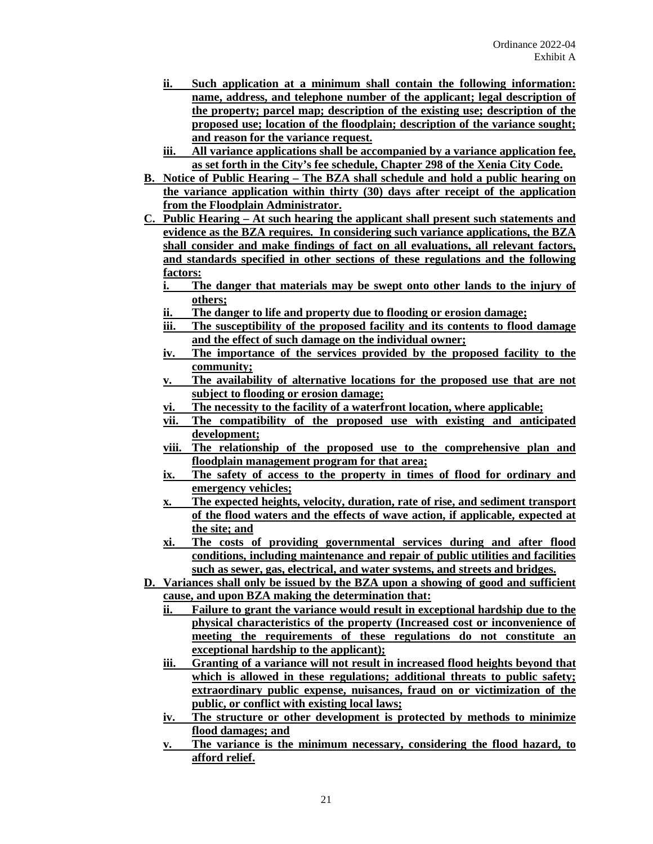- **ii. Such application at a minimum shall contain the following information: name, address, and telephone number of the applicant; legal description of the property; parcel map; description of the existing use; description of the proposed use; location of the floodplain; description of the variance sought; and reason for the variance request.**
- **iii. All variance applications shall be accompanied by a variance application fee, as set forth in the City's fee schedule, Chapter 298 of the Xenia City Code.**
- **B. Notice of Public Hearing – The BZA shall schedule and hold a public hearing on the variance application within thirty (30) days after receipt of the application from the Floodplain Administrator.**
- **C. Public Hearing – At such hearing the applicant shall present such statements and evidence as the BZA requires. In considering such variance applications, the BZA shall consider and make findings of fact on all evaluations, all relevant factors, and standards specified in other sections of these regulations and the following factors:**
	- **i. The danger that materials may be swept onto other lands to the injury of others;**
	- **ii. The danger to life and property due to flooding or erosion damage;**
	- **iii. The susceptibility of the proposed facility and its contents to flood damage and the effect of such damage on the individual owner;**
	- **iv. The importance of the services provided by the proposed facility to the community;**
	- **v. The availability of alternative locations for the proposed use that are not subject to flooding or erosion damage;**
	- **vi. The necessity to the facility of a waterfront location, where applicable;**
	- **vii. The compatibility of the proposed use with existing and anticipated development;**
	- **viii. The relationship of the proposed use to the comprehensive plan and floodplain management program for that area;**
	- **ix. The safety of access to the property in times of flood for ordinary and emergency vehicles;**
	- **x. The expected heights, velocity, duration, rate of rise, and sediment transport of the flood waters and the effects of wave action, if applicable, expected at the site; and**
	- **xi. The costs of providing governmental services during and after flood conditions, including maintenance and repair of public utilities and facilities such as sewer, gas, electrical, and water systems, and streets and bridges.**
- **D. Variances shall only be issued by the BZA upon a showing of good and sufficient cause, and upon BZA making the determination that:**
	- **ii. Failure to grant the variance would result in exceptional hardship due to the physical characteristics of the property (Increased cost or inconvenience of meeting the requirements of these regulations do not constitute an exceptional hardship to the applicant);**
	- **iii. Granting of a variance will not result in increased flood heights beyond that which is allowed in these regulations; additional threats to public safety; extraordinary public expense, nuisances, fraud on or victimization of the public, or conflict with existing local laws;**
	- **iv. The structure or other development is protected by methods to minimize flood damages; and**
	- **v. The variance is the minimum necessary, considering the flood hazard, to afford relief.**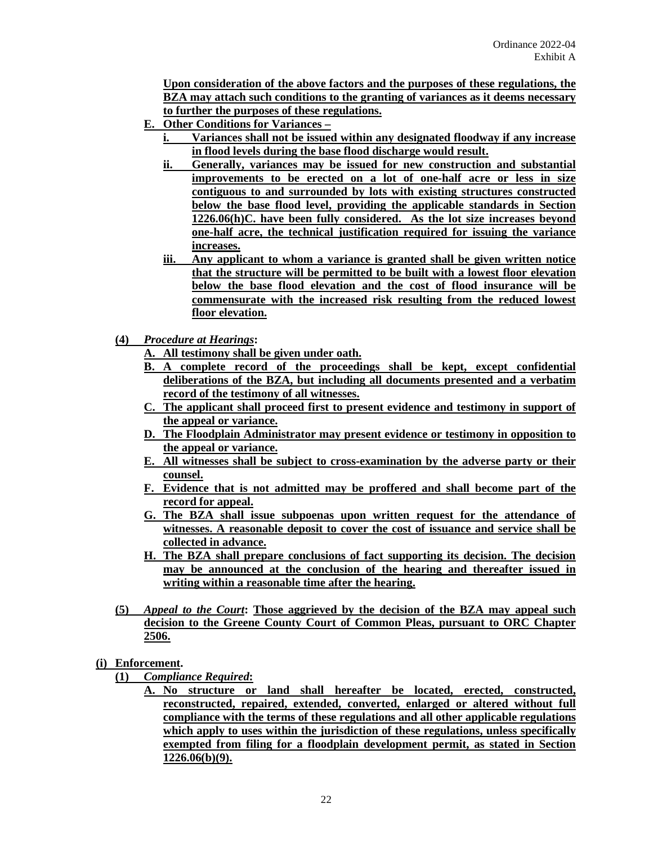**Upon consideration of the above factors and the purposes of these regulations, the BZA may attach such conditions to the granting of variances as it deems necessary to further the purposes of these regulations.**

- **E. Other Conditions for Variances –**
	- **i. Variances shall not be issued within any designated floodway if any increase in flood levels during the base flood discharge would result.**
	- **ii. Generally, variances may be issued for new construction and substantial improvements to be erected on a lot of one-half acre or less in size contiguous to and surrounded by lots with existing structures constructed below the base flood level, providing the applicable standards in Section 1226.06(h)C. have been fully considered. As the lot size increases beyond one-half acre, the technical justification required for issuing the variance increases.**
	- **iii. Any applicant to whom a variance is granted shall be given written notice that the structure will be permitted to be built with a lowest floor elevation below the base flood elevation and the cost of flood insurance will be commensurate with the increased risk resulting from the reduced lowest floor elevation.**
- **(4)** *Procedure at Hearings***:**
	- **A. All testimony shall be given under oath.**
	- **B. A complete record of the proceedings shall be kept, except confidential deliberations of the BZA, but including all documents presented and a verbatim record of the testimony of all witnesses.**
	- **C. The applicant shall proceed first to present evidence and testimony in support of the appeal or variance.**
	- **D. The Floodplain Administrator may present evidence or testimony in opposition to the appeal or variance.**
	- **E. All witnesses shall be subject to cross-examination by the adverse party or their counsel.**
	- **F. Evidence that is not admitted may be proffered and shall become part of the record for appeal.**
	- **G. The BZA shall issue subpoenas upon written request for the attendance of witnesses. A reasonable deposit to cover the cost of issuance and service shall be collected in advance.**
	- **H. The BZA shall prepare conclusions of fact supporting its decision. The decision may be announced at the conclusion of the hearing and thereafter issued in writing within a reasonable time after the hearing.**
- **(5)** *Appeal to the Court***: Those aggrieved by the decision of the BZA may appeal such decision to the Greene County Court of Common Pleas, pursuant to ORC Chapter 2506.**
- **(i) Enforcement.**
	- **(1)** *Compliance Required***:**
		- **A. No structure or land shall hereafter be located, erected, constructed, reconstructed, repaired, extended, converted, enlarged or altered without full compliance with the terms of these regulations and all other applicable regulations which apply to uses within the jurisdiction of these regulations, unless specifically exempted from filing for a floodplain development permit, as stated in Section 1226.06(b)(9).**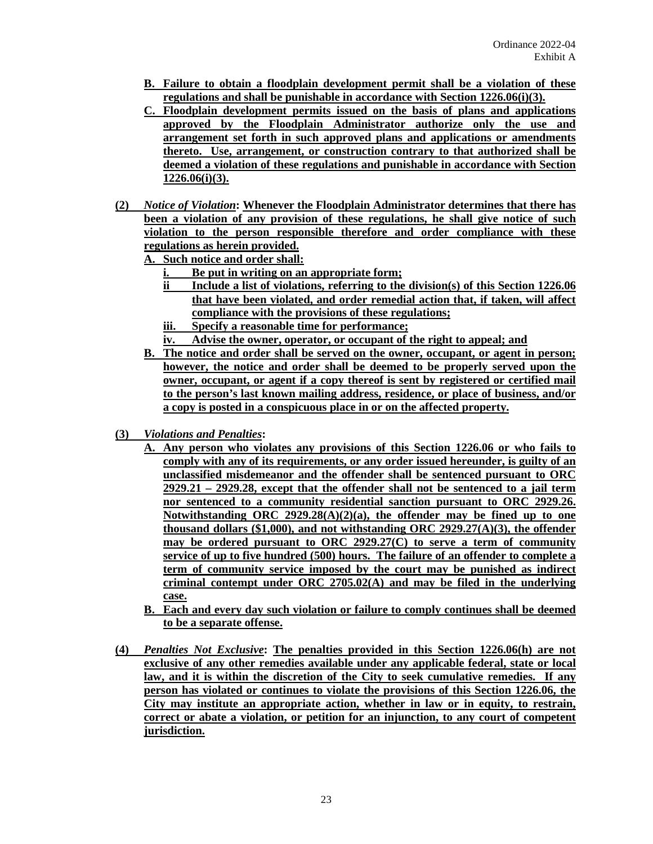- **B. Failure to obtain a floodplain development permit shall be a violation of these regulations and shall be punishable in accordance with Section 1226.06(i)(3).**
- **C. Floodplain development permits issued on the basis of plans and applications approved by the Floodplain Administrator authorize only the use and arrangement set forth in such approved plans and applications or amendments thereto. Use, arrangement, or construction contrary to that authorized shall be deemed a violation of these regulations and punishable in accordance with Section 1226.06(i)(3).**
- **(2)** *Notice of Violation***: Whenever the Floodplain Administrator determines that there has been a violation of any provision of these regulations, he shall give notice of such violation to the person responsible therefore and order compliance with these regulations as herein provided.**

**A. Such notice and order shall:**

- **i. Be put in writing on an appropriate form;**
- **ii Include a list of violations, referring to the division(s) of this Section 1226.06 that have been violated, and order remedial action that, if taken, will affect compliance with the provisions of these regulations;**
- **iii. Specify a reasonable time for performance;**
- **iv. Advise the owner, operator, or occupant of the right to appeal; and**
- **B. The notice and order shall be served on the owner, occupant, or agent in person; however, the notice and order shall be deemed to be properly served upon the owner, occupant, or agent if a copy thereof is sent by registered or certified mail to the person's last known mailing address, residence, or place of business, and/or a copy is posted in a conspicuous place in or on the affected property.**
- **(3)** *Violations and Penalties***:** 
	- **A. Any person who violates any provisions of this Section 1226.06 or who fails to comply with any of its requirements, or any order issued hereunder, is guilty of an unclassified misdemeanor and the offender shall be sentenced pursuant to ORC 2929.21 – 2929.28, except that the offender shall not be sentenced to a jail term nor sentenced to a community residential sanction pursuant to ORC 2929.26. Notwithstanding ORC 2929.28(A)(2)(a), the offender may be fined up to one thousand dollars (\$1,000), and not withstanding ORC 2929.27(A)(3), the offender may be ordered pursuant to ORC 2929.27(C) to serve a term of community service of up to five hundred (500) hours. The failure of an offender to complete a term of community service imposed by the court may be punished as indirect criminal contempt under ORC 2705.02(A) and may be filed in the underlying case.**
	- **B. Each and every day such violation or failure to comply continues shall be deemed to be a separate offense.**
- **(4)** *Penalties Not Exclusive***: The penalties provided in this Section 1226.06(h) are not exclusive of any other remedies available under any applicable federal, state or local law, and it is within the discretion of the City to seek cumulative remedies. If any person has violated or continues to violate the provisions of this Section 1226.06, the City may institute an appropriate action, whether in law or in equity, to restrain, correct or abate a violation, or petition for an injunction, to any court of competent jurisdiction.**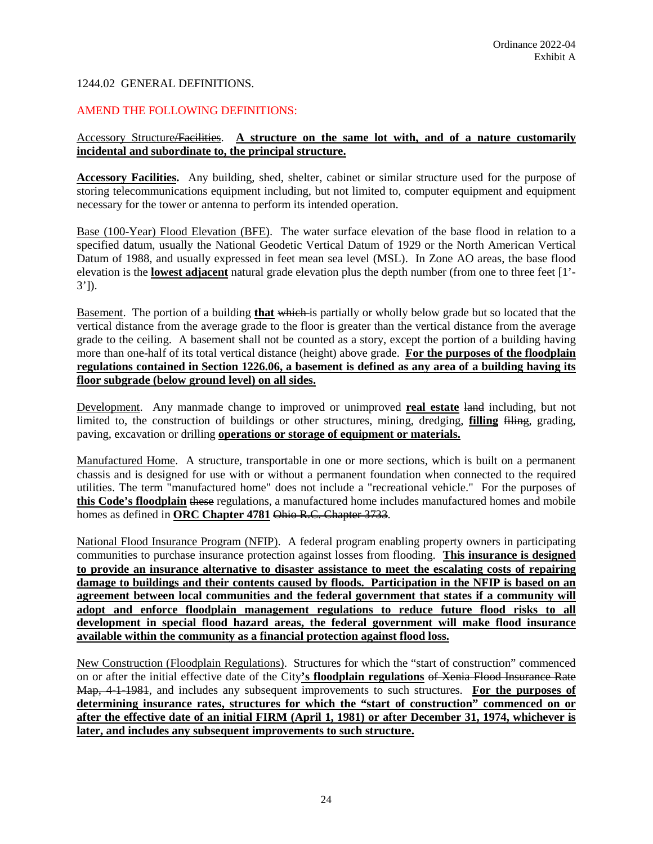## 1244.02 GENERAL DEFINITIONS.

## AMEND THE FOLLOWING DEFINITIONS:

# Accessory Structure/Facilities. **A structure on the same lot with, and of a nature customarily incidental and subordinate to, the principal structure.**

**Accessory Facilities.** Any building, shed, shelter, cabinet or similar structure used for the purpose of storing telecommunications equipment including, but not limited to, computer equipment and equipment necessary for the tower or antenna to perform its intended operation.

Base (100-Year) Flood Elevation (BFE). The water surface elevation of the base flood in relation to a specified datum, usually the National Geodetic Vertical Datum of 1929 or the North American Vertical Datum of 1988, and usually expressed in feet mean sea level (MSL). In Zone AO areas, the base flood elevation is the **lowest adjacent** natural grade elevation plus the depth number (from one to three feet [1'- 3']).

Basement. The portion of a building **that** which is partially or wholly below grade but so located that the vertical distance from the average grade to the floor is greater than the vertical distance from the average grade to the ceiling. A basement shall not be counted as a story, except the portion of a building having more than one-half of its total vertical distance (height) above grade. **For the purposes of the floodplain regulations contained in Section 1226.06, a basement is defined as any area of a building having its floor subgrade (below ground level) on all sides.**

Development. Any manmade change to improved or unimproved **real estate** land including, but not limited to, the construction of buildings or other structures, mining, dredging, **filling** filing, grading, paving, excavation or drilling **operations or storage of equipment or materials.**

Manufactured Home. A structure, transportable in one or more sections, which is built on a permanent chassis and is designed for use with or without a permanent foundation when connected to the required utilities. The term "manufactured home" does not include a "recreational vehicle." For the purposes of **this Code's floodplain** these regulations, a manufactured home includes manufactured homes and mobile homes as defined in **ORC Chapter 4781** Ohio R.C. Chapter 3733.

National Flood Insurance Program (NFIP). A federal program enabling property owners in participating communities to purchase insurance protection against losses from flooding. **This insurance is designed to provide an insurance alternative to disaster assistance to meet the escalating costs of repairing damage to buildings and their contents caused by floods. Participation in the NFIP is based on an agreement between local communities and the federal government that states if a community will adopt and enforce floodplain management regulations to reduce future flood risks to all development in special flood hazard areas, the federal government will make flood insurance available within the community as a financial protection against flood loss.**

New Construction (Floodplain Regulations). Structures for which the "start of construction" commenced on or after the initial effective date of the City**'s floodplain regulations** of Xenia Flood Insurance Rate Map, 4-1-1981, and includes any subsequent improvements to such structures. **For the purposes of determining insurance rates, structures for which the "start of construction" commenced on or after the effective date of an initial FIRM (April 1, 1981) or after December 31, 1974, whichever is later, and includes any subsequent improvements to such structure.**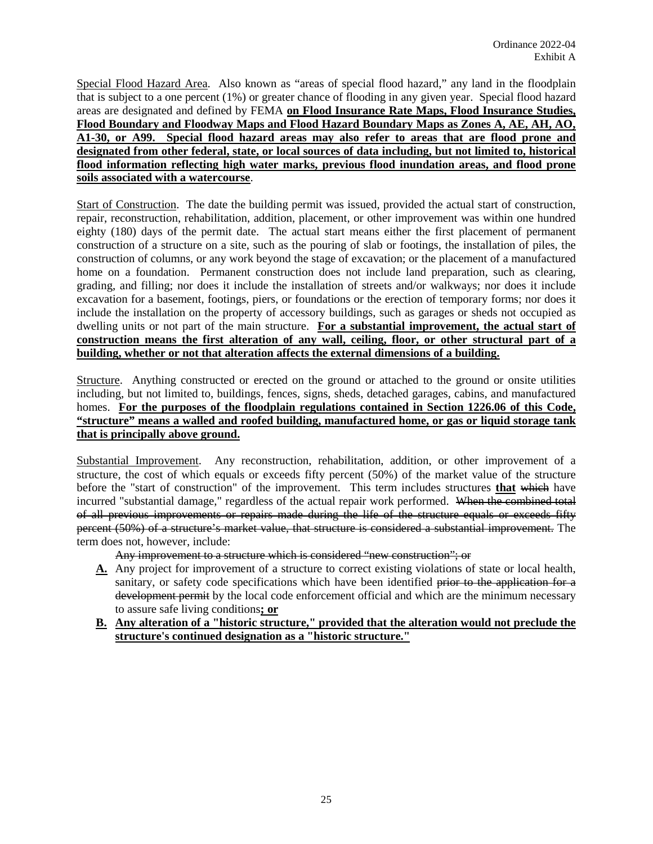Special Flood Hazard Area. Also known as "areas of special flood hazard," any land in the floodplain that is subject to a one percent (1%) or greater chance of flooding in any given year. Special flood hazard areas are designated and defined by FEMA **on Flood Insurance Rate Maps, Flood Insurance Studies, Flood Boundary and Floodway Maps and Flood Hazard Boundary Maps as Zones A, AE, AH, AO, A1-30, or A99. Special flood hazard areas may also refer to areas that are flood prone and designated from other federal, state, or local sources of data including, but not limited to, historical flood information reflecting high water marks, previous flood inundation areas, and flood prone soils associated with a watercourse**.

Start of Construction.The date the building permit was issued, provided the actual start of construction, repair, reconstruction, rehabilitation, addition, placement, or other improvement was within one hundred eighty (180) days of the permit date. The actual start means either the first placement of permanent construction of a structure on a site, such as the pouring of slab or footings, the installation of piles, the construction of columns, or any work beyond the stage of excavation; or the placement of a manufactured home on a foundation. Permanent construction does not include land preparation, such as clearing, grading, and filling; nor does it include the installation of streets and/or walkways; nor does it include excavation for a basement, footings, piers, or foundations or the erection of temporary forms; nor does it include the installation on the property of accessory buildings, such as garages or sheds not occupied as dwelling units or not part of the main structure. **For a substantial improvement, the actual start of construction means the first alteration of any wall, ceiling, floor, or other structural part of a building, whether or not that alteration affects the external dimensions of a building.** 

Structure. Anything constructed or erected on the ground or attached to the ground or onsite utilities including, but not limited to, buildings, fences, signs, sheds, detached garages, cabins, and manufactured homes. **For the purposes of the floodplain regulations contained in Section 1226.06 of this Code, "structure" means a walled and roofed building, manufactured home, or gas or liquid storage tank that is principally above ground.**

Substantial Improvement. Any reconstruction, rehabilitation, addition, or other improvement of a structure, the cost of which equals or exceeds fifty percent (50%) of the market value of the structure before the "start of construction" of the improvement. This term includes structures **that** which have incurred "substantial damage," regardless of the actual repair work performed. When the combined total of all previous improvements or repairs made during the life of the structure equals or exceeds fifty percent (50%) of a structure's market value, that structure is considered a substantial improvement. The term does not, however, include:

Any improvement to a structure which is considered "new construction"; or

- **A.** Any project for improvement of a structure to correct existing violations of state or local health, sanitary, or safety code specifications which have been identified prior to the application for a development permit by the local code enforcement official and which are the minimum necessary to assure safe living conditions**; or**
- **B. Any alteration of a "historic structure," provided that the alteration would not preclude the structure's continued designation as a "historic structure."**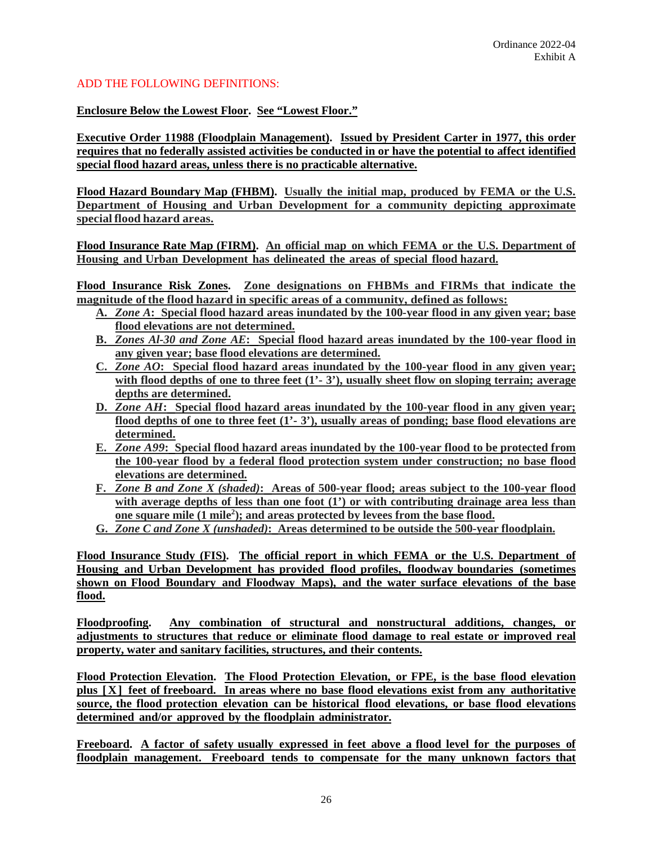# ADD THE FOLLOWING DEFINITIONS:

**Enclosure Below the Lowest Floor. See "Lowest Floor."**

**Executive Order 11988 (Floodplain Management). Issued by President Carter in 1977, this order requires that no federally assisted activities be conducted in or have the potential to affect identified special flood hazard areas, unless there is no practicable alternative.**

**Flood Hazard Boundary Map (FHBM). Usually the initial map, produced by FEMA or the U.S. Department of Housing and Urban Development for a community depicting approximate special flood hazard areas.**

**Flood Insurance Rate Map (FIRM). An official map on which FEMA or the U.S. Department of Housing and Urban Development has delineated the areas of special flood hazard.**

**Flood Insurance Risk Zones. Zone designations on FHBMs and FIRMs that indicate the magnitude ofthe flood hazard in specific areas of a community, defined as follows:**

- **A.** *Zone A***: Special flood hazard areas inundated by the 100-year flood in any given year; base flood elevations are not determined.**
- **B.** *Zones Al-30 and Zone AE***: Special flood hazard areas inundated by the 100-year flood in any given year; base flood elevations are determined.**
- **C.** *Zone AO***: Special flood hazard areas inundated by the 100-year flood in any given year; with flood depths of one to three feet (1'- 3'), usually sheet flow on sloping terrain; average depths are determined.**
- **D.** *Zone AH***: Special flood hazard areas inundated by the 100-year flood in any given year; flood depths of one to three feet (1'- 3'), usually areas of ponding; base flood elevations are determined.**
- **E.** *Zone A99***: Special flood hazard areas inundated by the 100-year flood to be protected from the 100-year flood by a federal flood protection system under construction; no base flood elevations are determined.**
- **F.** *Zone B and Zone X (shaded)***: Areas of 500-year flood; areas subject to the 100-year flood with average depths of less than one foot (1') or with contributing drainage area less than one square mile (1 mile2 ); and areas protected by levees from the base flood.**
- **G.** *Zone C and Zone X (unshaded)***: Areas determined to be outside the 500-year floodplain.**

**Flood Insurance Study (FIS). The official report in which FEMA or the U.S. Department of Housing and Urban Development has provided flood profiles, floodway boundaries (sometimes shown on Flood Boundary and Floodway Maps), and the water surface elevations of the base flood.**

**Floodproofing. Any combination of structural and nonstructural additions, changes, or adjustments to structures that reduce or eliminate flood damage to real estate or improved real property, water and sanitary facilities, structures, and their contents.**

**Flood Protection Elevation. The Flood Protection Elevation, or FPE, is the base flood elevation plus [X] feet of freeboard. In areas where no base flood elevations exist from any authoritative source, the flood protection elevation can be historical flood elevations, or base flood elevations determined and/or approved by the floodplain administrator.**

**Freeboard. A factor of safety usually expressed in feet above a flood level for the purposes of floodplain management. Freeboard tends to compensate for the many unknown factors that**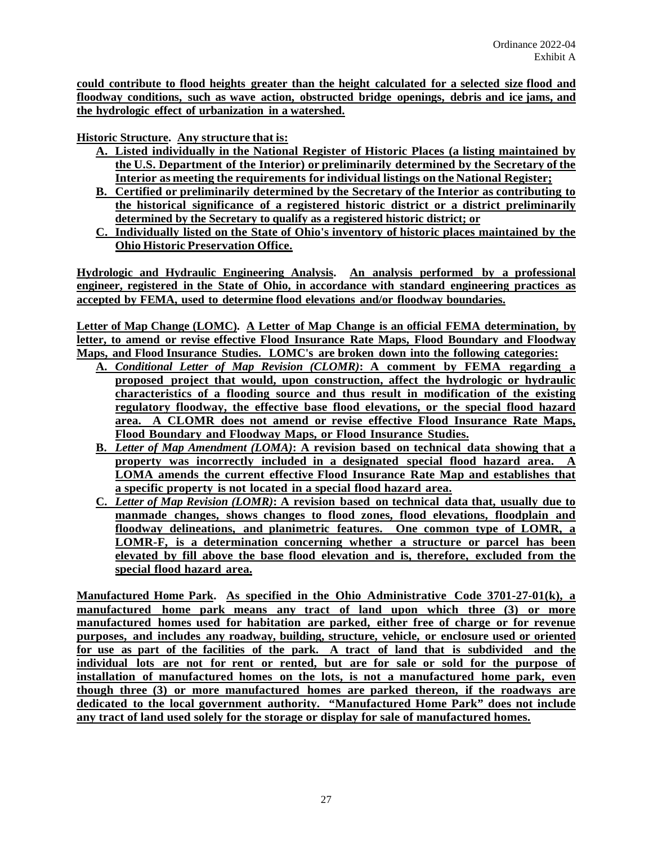**could contribute to flood heights greater than the height calculated for a selected size flood and floodway conditions, such as wave action, obstructed bridge openings, debris and ice jams, and the hydrologic effect of urbanization in a watershed.**

**Historic Structure. Any structure that is:**

- **A. Listed individually in the National Register of Historic Places (a listing maintained by the U.S. Department of the Interior) or preliminarily determined by the Secretary of the Interior as meeting the requirements for individual listings on the National Register;**
- **B. Certified or preliminarily determined by the Secretary of the Interior as contributing to the historical significance of a registered historic district or a district preliminarily determined by the Secretary to qualify as a registered historic district; or**
- **C. Individually listed on the State of Ohio's inventory of historic places maintained by the Ohio Historic Preservation Office.**

**Hydrologic and Hydraulic Engineering Analysis. An analysis performed by a professional engineer, registered in the State of Ohio, in accordance with standard engineering practices as accepted by FEMA, used to determine flood elevations and/or floodway boundaries.**

**Letter of Map Change (LOMC). A Letter of Map Change is an official FEMA determination, by letter, to amend or revise effective Flood Insurance Rate Maps, Flood Boundary and Floodway Maps, and Flood Insurance Studies. LOMC's are broken down into the following categories:**

- **A.** *Conditional Letter of Map Revision (CLOMR)***: A comment by FEMA regarding a proposed project that would, upon construction, affect the hydrologic or hydraulic characteristics of a flooding source and thus result in modification of the existing regulatory floodway, the effective base flood elevations, or the special flood hazard area. A CLOMR does not amend or revise effective Flood Insurance Rate Maps, Flood Boundary and Floodway Maps, or Flood Insurance Studies.**
- **B.** *Letter of Map Amendment (LOMA)***: A revision based on technical data showing that a property was incorrectly included in a designated special flood hazard area. A LOMA amends the current effective Flood Insurance Rate Map and establishes that a specific property is not located in a special flood hazard area.**
- **C.** *Letter of Map Revision (LOMR)***: A revision based on technical data that, usually due to manmade changes, shows changes to flood zones, flood elevations, floodplain and floodway delineations, and planimetric features. One common type of LOMR, a LOMR-F, is a determination concerning whether a structure or parcel has been elevated by fill above the base flood elevation and is, therefore, excluded from the special flood hazard area.**

**Manufactured Home Park. As specified in the Ohio Administrative Code 3701-27-01(k), a manufactured home park means any tract of land upon which three (3) or more manufactured homes used for habitation are parked, either free of charge or for revenue purposes, and includes any roadway, building, structure, vehicle, or enclosure used or oriented for use as part of the facilities of the park. A tract of land that is subdivided and the individual lots are not for rent or rented, but are for sale or sold for the purpose of installation of manufactured homes on the lots, is not a manufactured home park, even though three (3) or more manufactured homes are parked thereon, if the roadways are dedicated to the local government authority. "Manufactured Home Park" does not include any tract of land used solely for the storage or display for sale of manufactured homes.**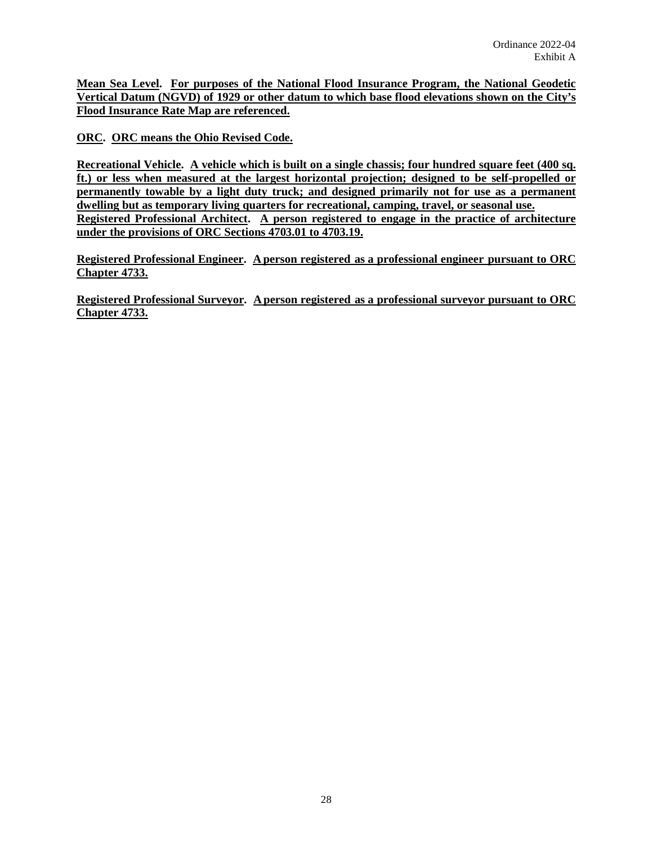**Mean Sea Level. For purposes of the National Flood Insurance Program, the National Geodetic Vertical Datum (NGVD) of 1929 or other datum to which base flood elevations shown on the City's Flood Insurance Rate Map are referenced.**

**ORC. ORC means the Ohio Revised Code.**

**Recreational Vehicle. A vehicle which is built on a single chassis; four hundred square feet (400 sq. ft.) or less when measured at the largest horizontal projection; designed to be self-propelled or permanently towable by a light duty truck; and designed primarily not for use as a permanent dwelling but as temporary living quarters for recreational, camping, travel, or seasonal use. Registered Professional Architect. A person registered to engage in the practice of architecture under the provisions of ORC Sections 4703.01 to 4703.19.**

**Registered Professional Engineer. A person registered as a professional engineer pursuant to ORC Chapter 4733.**

**Registered Professional Surveyor. A person registered as a professional surveyor pursuant to ORC Chapter 4733.**